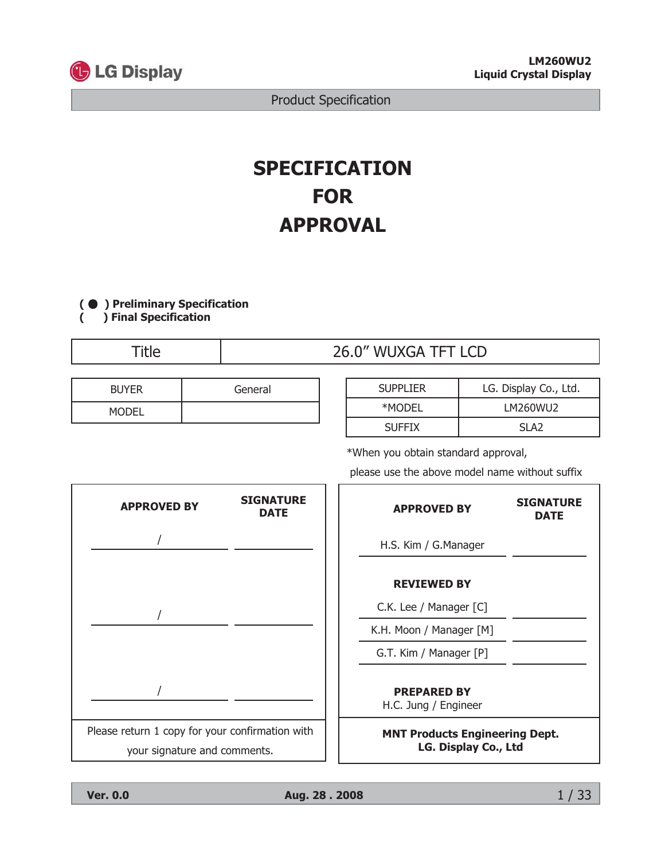

# **SPECIFICATION FOR APPROVAL**

(  $\bullet$  ) Preliminary Specification  $\overline{(\ }$ 

) Final Specification

**Title** 

| 26.0" WUXGA TFT LCD |  |  |  |
|---------------------|--|--|--|
|---------------------|--|--|--|

| <b>BUYER</b> | General |
|--------------|---------|
| <b>MODEI</b> |         |

| <b>SUPPLIER</b> | LG. Display Co., Ltd. |
|-----------------|-----------------------|
| *MODEL          | LM260WU2              |
| <b>SUFFIX</b>   | SI A <sub>2</sub>     |

\*When you obtain standard approval,

please use the above model name without suffix



 $1/33$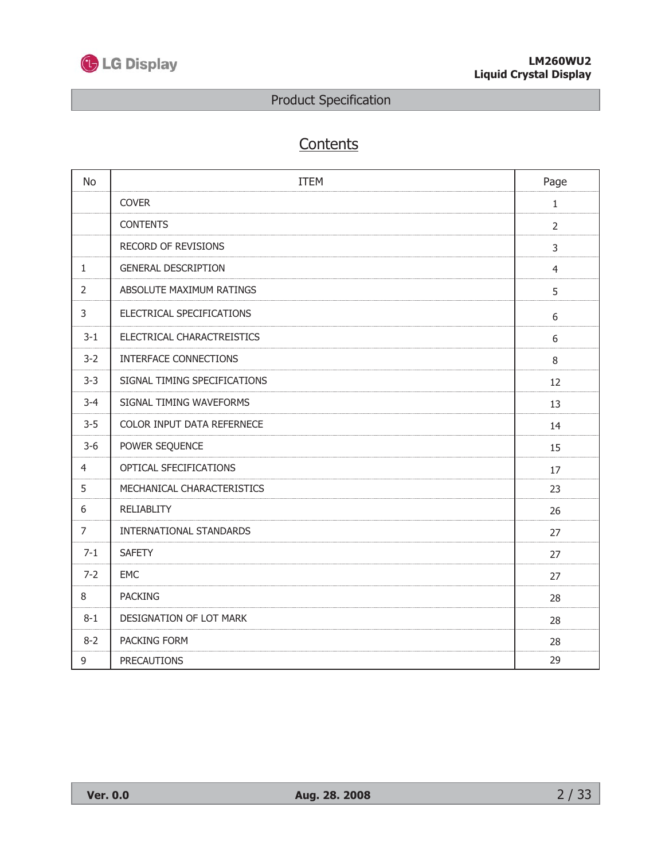

# Contents

| <b>No</b>      | <b>ITEM</b>                  | Page           |
|----------------|------------------------------|----------------|
|                | <b>COVER</b>                 | $1\,$          |
|                | <b>CONTENTS</b>              | $\overline{2}$ |
|                | RECORD OF REVISIONS          | 3              |
| $\mathbf{1}$   | <b>GENERAL DESCRIPTION</b>   | $\overline{4}$ |
| $\overline{2}$ | ABSOLUTE MAXIMUM RATINGS     | 5              |
| 3              | ELECTRICAL SPECIFICATIONS    | 6              |
| $3 - 1$        | ELECTRICAL CHARACTREISTICS   | 6              |
| $3 - 2$        | INTERFACE CONNECTIONS        | 8              |
| $3 - 3$        | SIGNAL TIMING SPECIFICATIONS | 12             |
| $3 - 4$        | SIGNAL TIMING WAVEFORMS      | 13             |
| $3 - 5$        | COLOR INPUT DATA REFERNECE   | 14             |
| $3-6$          | POWER SEQUENCE               | 15             |
| $\overline{4}$ | OPTICAL SFECIFICATIONS       | 17             |
| 5              | MECHANICAL CHARACTERISTICS   | 23             |
| 6              | <b>RELIABLITY</b>            | 26             |
| $\overline{7}$ | INTERNATIONAL STANDARDS      | 27             |
| $7 - 1$        | <b>SAFETY</b>                | 27             |
| $7 - 2$        | <b>EMC</b>                   | 27             |
| 8              | <b>PACKING</b>               | 28             |
| $8 - 1$        | DESIGNATION OF LOT MARK      | 28             |
| $8 - 2$        | PACKING FORM                 | 28             |
| 9              | <b>PRECAUTIONS</b>           | 29             |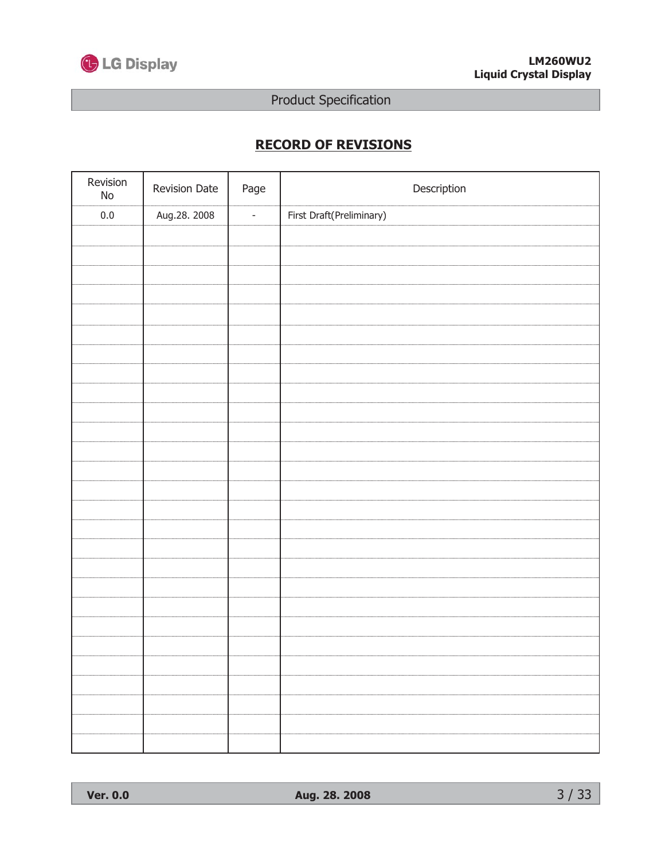

# **RECORD OF REVISIONS**

| Revision<br>$\operatorname{\mathsf{No}}$ | Revision Date | Page           | Description              |
|------------------------------------------|---------------|----------------|--------------------------|
| $0.0\,$                                  | Aug.28. 2008  | $\blacksquare$ | First Draft(Preliminary) |
|                                          |               |                |                          |
|                                          |               |                |                          |
|                                          |               |                |                          |
|                                          |               |                |                          |
|                                          |               |                |                          |
|                                          |               |                |                          |
|                                          |               |                |                          |
|                                          |               |                |                          |
|                                          |               |                |                          |
|                                          |               |                |                          |
|                                          |               |                |                          |
|                                          |               |                |                          |
|                                          |               |                |                          |
|                                          |               |                |                          |
|                                          |               |                |                          |
|                                          |               |                |                          |
|                                          |               |                |                          |
|                                          |               |                |                          |
|                                          |               |                |                          |
|                                          |               |                |                          |
|                                          |               |                |                          |
|                                          |               |                |                          |
|                                          |               |                |                          |
|                                          |               |                |                          |
|                                          |               |                |                          |
|                                          |               |                |                          |
|                                          |               |                |                          |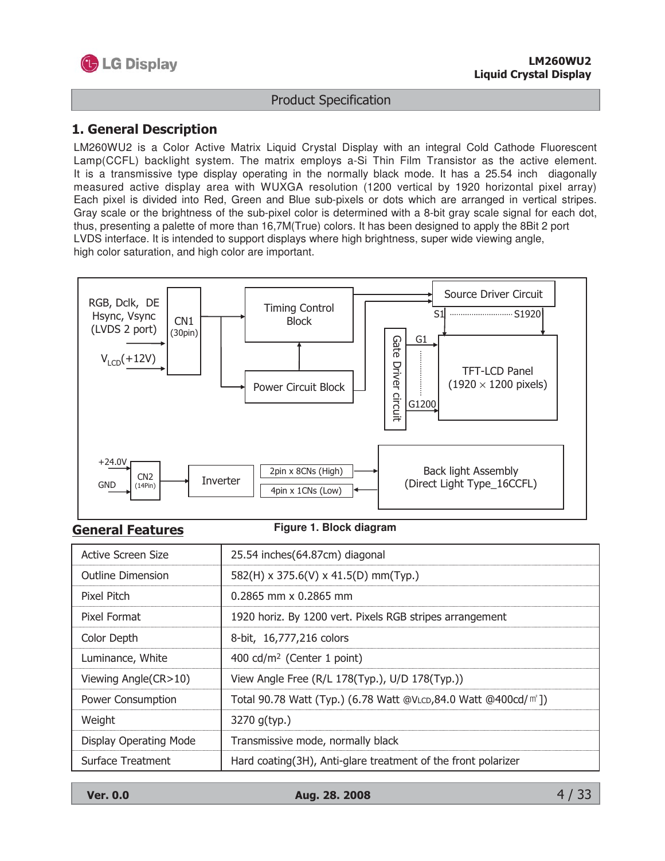

#### 1. General Description

LM260WU2 is a Color Active Matrix Liquid Crystal Display with an integral Cold Cathode Fluorescent Lamp(CCFL) backlight system. The matrix employs a-Si Thin Film Transistor as the active element. It is a transmissive type display operating in the normally black mode. It has a 25.54 inch diagonally measured active display area with WUXGA resolution (1200 vertical by 1920 horizontal pixel array) Each pixel is divided into Red, Green and Blue sub-pixels or dots which are arranged in vertical stripes. Gray scale or the brightness of the sub-pixel color is determined with a 8-bit gray scale signal for each dot, thus, presenting a palette of more than 16,7M(True) colors. It has been designed to apply the 8Bit 2 port LVDS interface. It is intended to support displays where high brightness, super wide viewing angle, high color saturation, and high color are important.



#### **General Features**

#### **Figure 1. Block diagram**

| <b>Active Screen Size</b> | 25.54 inches(64.87cm) diagonal                                              |
|---------------------------|-----------------------------------------------------------------------------|
| <b>Outline Dimension</b>  | 582(H) x 375.6(V) x 41.5(D) mm(Typ.)                                        |
| Pixel Pitch               | $0.2865$ mm $\times$ 0.2865 mm                                              |
| Pixel Format              | 1920 horiz. By 1200 vert. Pixels RGB stripes arrangement                    |
| Color Depth               | 8-bit, 16,777,216 colors                                                    |
| Luminance, White          | 400 cd/m <sup>2</sup> (Center 1 point)                                      |
| Viewing Angle(CR>10)      | View Angle Free (R/L 178(Typ.), U/D 178(Typ.))                              |
| Power Consumption         | Total 90.78 Watt (Typ.) (6.78 Watt @VLCD,84.0 Watt @400cd/m <sup>2</sup> ]) |
| Weight                    | 3270 g(typ.)                                                                |
| Display Operating Mode    | Transmissive mode, normally black                                           |
| Surface Treatment         | Hard coating(3H), Anti-glare treatment of the front polarizer               |

**Ver. 0.0** 

Aug. 28. 2008

 $4/33$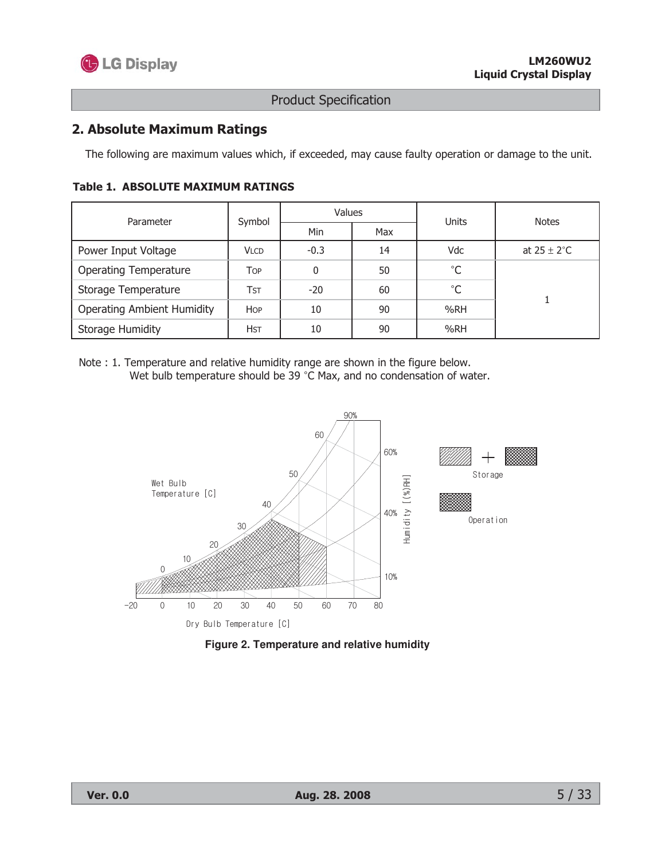

## 2. Absolute Maximum Ratings

The following are maximum values which, if exceeded, may cause faulty operation or damage to the unit.

| Parameter                         | Symbol      | <b>Values</b> |     | Units       | <b>Notes</b>            |  |
|-----------------------------------|-------------|---------------|-----|-------------|-------------------------|--|
|                                   |             | Min           | Max |             |                         |  |
| Power Input Voltage               | <b>VLCD</b> | $-0.3$        | 14  | Vdc         | at $25 \pm 2^{\circ}$ C |  |
| <b>Operating Temperature</b>      | <b>TOP</b>  | 0             | 50  | $^{\circ}C$ |                         |  |
| Storage Temperature               | Tst         | $-20$         | 60  | $^{\circ}C$ |                         |  |
| <b>Operating Ambient Humidity</b> | <b>HOP</b>  | 10            | 90  | %RH         |                         |  |
| <b>Storage Humidity</b>           | <b>HST</b>  | 10            | 90  | %RH         |                         |  |

#### **Table 1. ABSOLUTE MAXIMUM RATINGS**

Note : 1. Temperature and relative humidity range are shown in the figure below. Wet bulb temperature should be 39 °C Max, and no condensation of water.



Figure 2. Temperature and relative humidity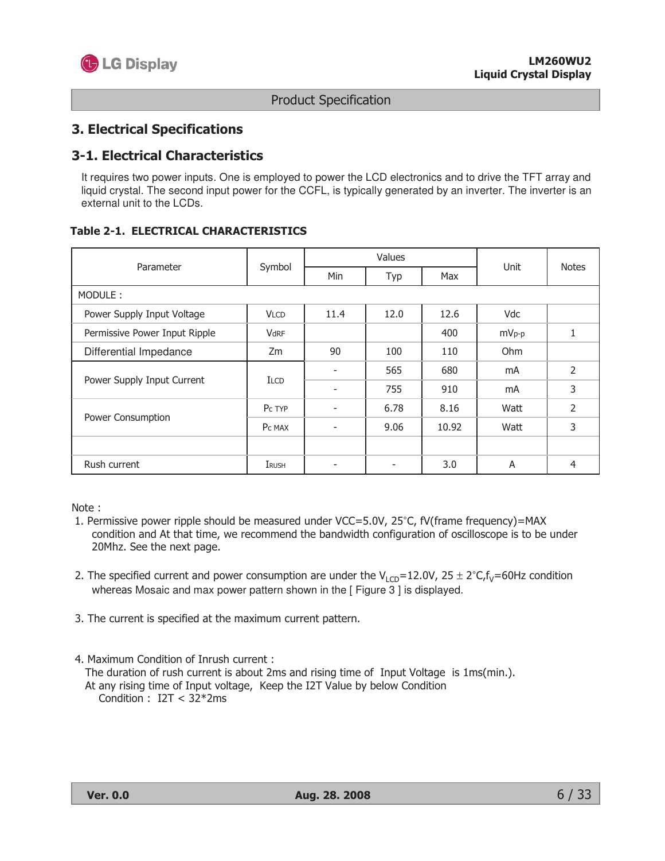

#### **3. Electrical Specifications**

#### **3-1. Electrical Characteristics**

It requires two power inputs. One is employed to power the LCD electronics and to drive the TFT array and liquid crystal. The second input power for the CCFL, is typically generated by an inverter. The inverter is an external unit to the LCDs.

#### **Table 2-1. ELECTRICAL CHARACTERISTICS**

| Parameter                     |                    |      | Values       |            | <b>Notes</b> |                |
|-------------------------------|--------------------|------|--------------|------------|--------------|----------------|
|                               | Symbol             | Min  | Typ          | Max        | Unit         |                |
| MODULE:                       |                    |      |              |            |              |                |
| Power Supply Input Voltage    | <b>VLCD</b>        | 11.4 | 12.6<br>12.0 |            | Vdc          |                |
| Permissive Power Input Ripple | VdRF               | 400  |              | $mV_{p-p}$ | 1            |                |
| Differential Impedance        | Zm                 | 90   | 100          | 110        | Ohm          |                |
|                               | <b>ILCD</b>        |      | 565          | 680        | mA           | 2              |
| Power Supply Input Current    |                    | ٠    | 755          | 910        | mA           | 3              |
|                               | P <sub>c</sub> TYP |      | 6.78         | 8.16       | Watt         | $\overline{2}$ |
| Power Consumption             | P <sub>c</sub> MAX |      | 9.06         | 10.92      | Watt         | 3              |
|                               |                    |      |              |            |              |                |
| Rush current                  | IRUSH              | ۰    | ٠            | 3.0        | A            | 4              |

Note:

- 1. Permissive power ripple should be measured under VCC=5.0V, 25°C, fV(frame frequency)=MAX condition and At that time, we recommend the bandwidth configuration of oscilloscope is to be under 20Mhz. See the next page.
- 2. The specified current and power consumption are under the  $V_{1CD} = 12.0V$ ,  $25 \pm 2°C$ ,  $f_v = 60$ Hz condition whereas Mosaic and max power pattern shown in the [Figure 3] is displayed.
- 3. The current is specified at the maximum current pattern.
- 4. Maximum Condition of Inrush current : The duration of rush current is about 2ms and rising time of Input Voltage is 1ms(min.). At any rising time of Input voltage, Keep the I2T Value by below Condition Condition :  $I2T < 32*2ms$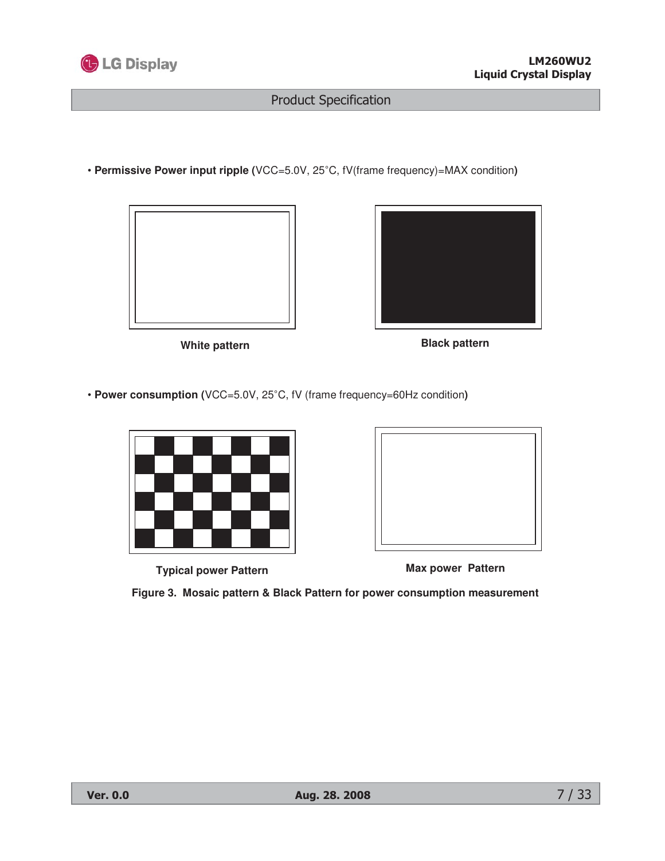

• **Permissive Power input ripple (**VCC=5.0V, 25°C, fV(frame frequency)=MAX condition)





White pattern **Black pattern** 

• **Power consumption (**VCC=5.0V, 25°C, fV (frame frequency=60Hz condition)



**Typical power Pattern Max power Pattern**



**Figure 3. Mosaic pattern & Black Pattern for power consumption measurement**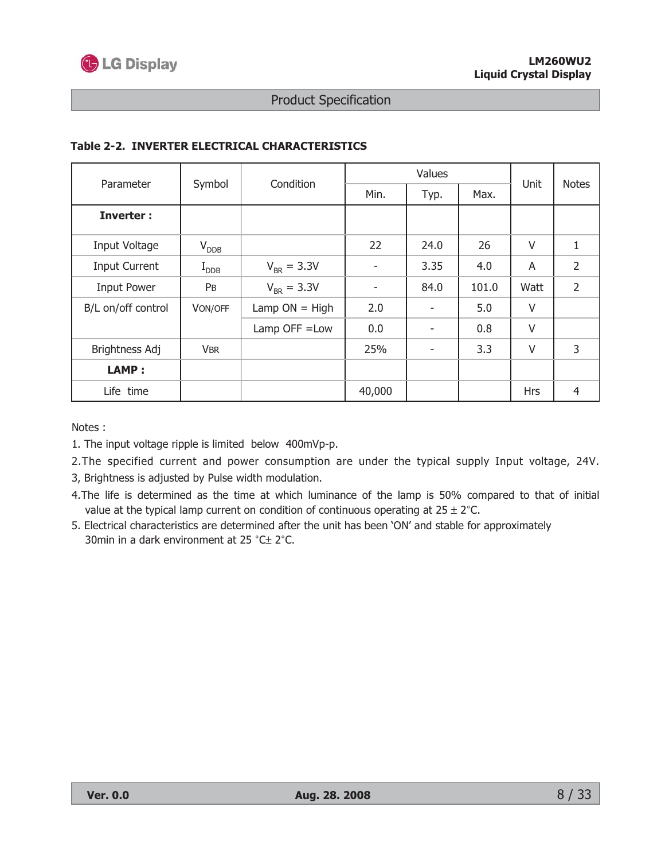

| Parameter            | Symbol           | Condition        | Min.   | Typ. | Max.  | Unit       | <b>Notes</b>   |
|----------------------|------------------|------------------|--------|------|-------|------------|----------------|
| <b>Inverter:</b>     |                  |                  |        |      |       |            |                |
| Input Voltage        | $V_{DDB}$        |                  | 22     | 24.0 | 26    | V          | 1              |
| <b>Input Current</b> | $I_{\text{DDB}}$ | $V_{BR} = 3.3V$  | ۰      | 3.35 | 4.0   | A          | $\overline{2}$ |
| <b>Input Power</b>   | PB               | $V_{BR} = 3.3V$  | ۰      | 84.0 | 101.0 | Watt       | $\overline{2}$ |
| B/L on/off control   | VON/OFF          | Lamp $ON = High$ | 2.0    |      | 5.0   | V          |                |
|                      |                  | Lamp OFF = Low   | 0.0    |      | 0.8   | V          |                |
| Brightness Adj       | <b>VBR</b>       |                  | 25%    | ۰    | 3.3   | V          | 3              |
| LAMP:                |                  |                  |        |      |       |            |                |
| Life time            |                  |                  | 40,000 |      |       | <b>Hrs</b> | 4              |

#### Table 2-2. INVERTER ELECTRICAL CHARACTERISTICS

Notes:

- 1. The input voltage ripple is limited below 400mVp-p.
- 2. The specified current and power consumption are under the typical supply Input voltage, 24V.
- 3, Brightness is adjusted by Pulse width modulation.
- 4. The life is determined as the time at which luminance of the lamp is 50% compared to that of initial value at the typical lamp current on condition of continuous operating at  $25 \pm 2^{\circ}$ C.
- 5. Electrical characteristics are determined after the unit has been 'ON' and stable for approximately 30min in a dark environment at 25 °C± 2°C.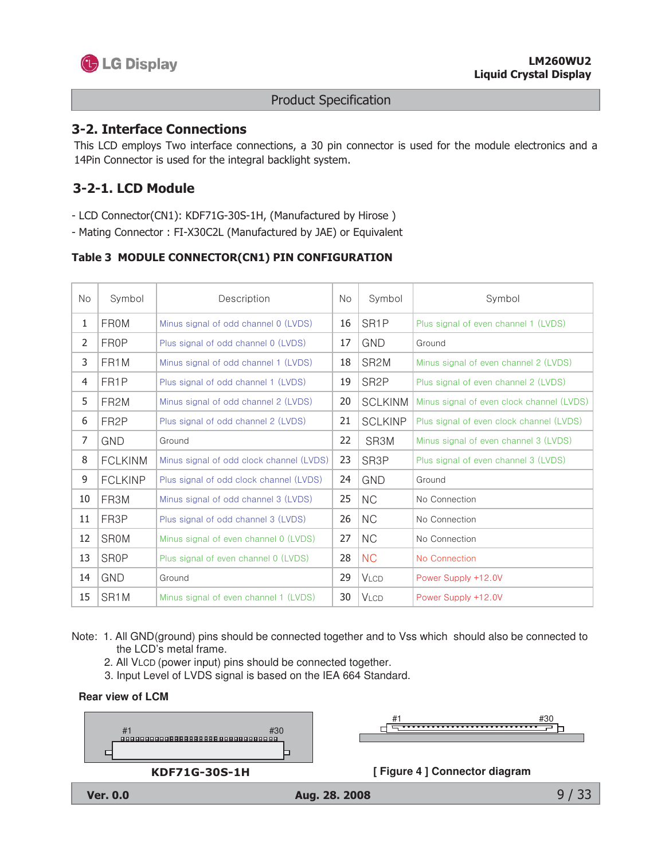

#### **3-2. Interface Connections**

This LCD employs Two interface connections, a 30 pin connector is used for the module electronics and a 14Pin Connector is used for the integral backlight system.

## 3-2-1. LCD Module

- LCD Connector(CN1): KDF71G-30S-1H, (Manufactured by Hirose)

- Mating Connector: FI-X30C2L (Manufactured by JAE) or Equivalent

#### Table 3 MODULE CONNECTOR(CN1) PIN CONFIGURATION

| <b>No</b> | Symbol            | Description                              | <b>No</b> | Symbol            | Symbol                                    |
|-----------|-------------------|------------------------------------------|-----------|-------------------|-------------------------------------------|
| 1         | <b>FROM</b>       | Minus signal of odd channel 0 (LVDS)     | 16        | SR <sub>1</sub> P | Plus signal of even channel 1 (LVDS)      |
| 2         | FR0P              | Plus signal of odd channel 0 (LVDS)      | 17        | <b>GND</b>        | Ground                                    |
| 3         | FR <sub>1</sub> M | Minus signal of odd channel 1 (LVDS)     | 18        | SR <sub>2</sub> M | Minus signal of even channel 2 (LVDS)     |
| 4         | FR <sub>1</sub> P | Plus signal of odd channel 1 (LVDS)      | 19        | SR <sub>2</sub> P | Plus signal of even channel 2 (LVDS)      |
| 5         | FR <sub>2</sub> M | Minus signal of odd channel 2 (LVDS)     | 20        | <b>SCLKINM</b>    | Minus signal of even clock channel (LVDS) |
| 6         | FR <sub>2</sub> P | Plus signal of odd channel 2 (LVDS)      | 21        | <b>SCLKINP</b>    | Plus signal of even clock channel (LVDS)  |
| 7         | <b>GND</b>        | Ground                                   | 22        | SR3M              | Minus signal of even channel 3 (LVDS)     |
| 8         | <b>FCLKINM</b>    | Minus signal of odd clock channel (LVDS) | 23        | SR <sub>3</sub> P | Plus signal of even channel 3 (LVDS)      |
| 9         | <b>FCLKINP</b>    | Plus signal of odd clock channel (LVDS)  | 24        | <b>GND</b>        | Ground                                    |
| 10        | FR3M              | Minus signal of odd channel 3 (LVDS)     | 25        | <b>NC</b>         | No Connection                             |
| 11        | FR3P              | Plus signal of odd channel 3 (LVDS)      | 26        | <b>NC</b>         | No Connection                             |
| 12        | <b>SROM</b>       | Minus signal of even channel 0 (LVDS)    | 27        | <b>NC</b>         | No Connection                             |
| 13        | <b>SROP</b>       | Plus signal of even channel 0 (LVDS)     | 28        | <b>NC</b>         | No Connection                             |
| 14        | <b>GND</b>        | Ground                                   | 29        | <b>VLCD</b>       | Power Supply +12.0V                       |
| 15        | SR <sub>1</sub> M | Minus signal of even channel 1 (LVDS)    | 30        | <b>VLCD</b>       | Power Supply +12.0V                       |

Note: 1. All GND(ground) pins should be connected together and to Vss which should also be connected to the LCD's metal frame.

- 2. All VLCD (power input) pins should be connected together.
- 3. Input Level of LVDS signal is based on the IEA 664 Standard.





#30 ਰਵਿ

[Figure 4] Connector diagram



 $9/33$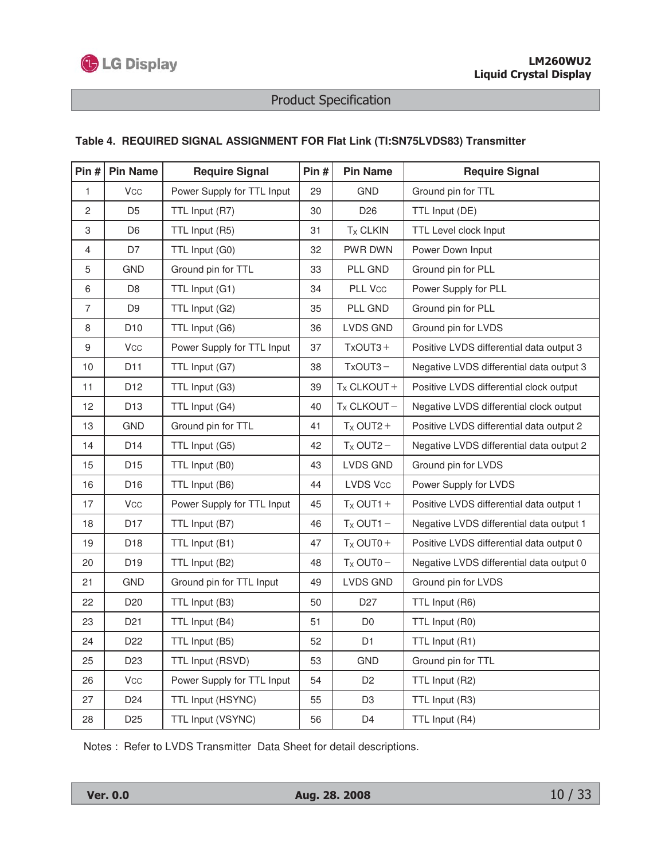

#### **Table 4. REQUIRED SIGNAL ASSIGNMENT FOR Flat Link (TI:SN75LVDS83) Transmitter**

| Pin#             | <b>Pin Name</b>       | <b>Require Signal</b>      | Pin $#$ | <b>Pin Name</b>    | <b>Require Signal</b>                    |
|------------------|-----------------------|----------------------------|---------|--------------------|------------------------------------------|
| 1                | Vcc                   | Power Supply for TTL Input | 29      | <b>GND</b>         | Ground pin for TTL                       |
| $\overline{c}$   | D <sub>5</sub>        | TTL Input (R7)             | 30      | D <sub>26</sub>    | TTL Input (DE)                           |
| 3                | D <sub>6</sub>        | TTL Input (R5)             | 31      | $T_X$ CLKIN        | TTL Level clock Input                    |
| 4                | D7                    | TTL Input (G0)             | 32      | PWR DWN            | Power Down Input                         |
| 5                | <b>GND</b>            | Ground pin for TTL         | 33      | PLL GND            | Ground pin for PLL                       |
| 6                | D <sub>8</sub>        | TTL Input (G1)             | 34      | PLL Vcc            | Power Supply for PLL                     |
| $\overline{7}$   | D <sub>9</sub>        | TTL Input (G2)             | 35      | PLL GND            | Ground pin for PLL                       |
| 8                | D <sub>10</sub>       | TTL Input (G6)             | 36      | LVDS GND           | Ground pin for LVDS                      |
| $\boldsymbol{9}$ | Vcc                   | Power Supply for TTL Input | 37      | $TxOUT3 +$         | Positive LVDS differential data output 3 |
| 10               | D <sub>11</sub>       | TTL Input (G7)             | 38      | $TxOUT3 -$         | Negative LVDS differential data output 3 |
| 11               | D12                   | TTL Input (G3)             | 39      | $T_X$ CLKOUT +     | Positive LVDS differential clock output  |
| 12               | D <sub>13</sub>       | TTL Input (G4)             | 40      | $T_X$ CLKOUT-      | Negative LVDS differential clock output  |
| 13               | GND                   | Ground pin for TTL         | 41      | $T_X$ OUT2+        | Positive LVDS differential data output 2 |
| 14               | D14                   | TTL Input (G5)             | 42      | $T_X$ OUT2-        | Negative LVDS differential data output 2 |
| 15               | D <sub>15</sub>       | TTL Input (B0)             | 43      | <b>LVDS GND</b>    | Ground pin for LVDS                      |
| 16               | D <sub>16</sub>       | TTL Input (B6)             | 44      | <b>LVDS Vcc</b>    | Power Supply for LVDS                    |
| 17               | <b>V<sub>CC</sub></b> | Power Supply for TTL Input | 45      | $T_X$ OUT1 +       | Positive LVDS differential data output 1 |
| 18               | D <sub>17</sub>       | TTL Input (B7)             | 46      | $T_{\rm X}$ OUT1 - | Negative LVDS differential data output 1 |
| 19               | D <sub>18</sub>       | TTL Input (B1)             | 47      | $T_X$ OUT0+        | Positive LVDS differential data output 0 |
| 20               | D <sub>19</sub>       | TTL Input (B2)             | 48      | $T_X$ OUT0 -       | Negative LVDS differential data output 0 |
| 21               | GND                   | Ground pin for TTL Input   | 49      | LVDS GND           | Ground pin for LVDS                      |
| 22               | D <sub>20</sub>       | TTL Input (B3)             | 50      | D <sub>27</sub>    | TTL Input (R6)                           |
| 23               | D <sub>21</sub>       | TTL Input (B4)             | 51      | D <sub>0</sub>     | TTL Input (R0)                           |
| 24               | D <sub>22</sub>       | TTL Input (B5)             | 52      | D1                 | TTL Input (R1)                           |
| 25               | D <sub>23</sub>       | TTL Input (RSVD)           | 53      | GND                | Ground pin for TTL                       |
| 26               | <b>V<sub>CC</sub></b> | Power Supply for TTL Input | 54      | D <sub>2</sub>     | TTL Input (R2)                           |
| 27               | D24                   | TTL Input (HSYNC)          | 55      | D <sub>3</sub>     | TTL Input (R3)                           |
| 28               | D <sub>25</sub>       | TTL Input (VSYNC)          | 56      | D4                 | TTL Input (R4)                           |

Notes : Refer to LVDS Transmitter Data Sheet for detail descriptions.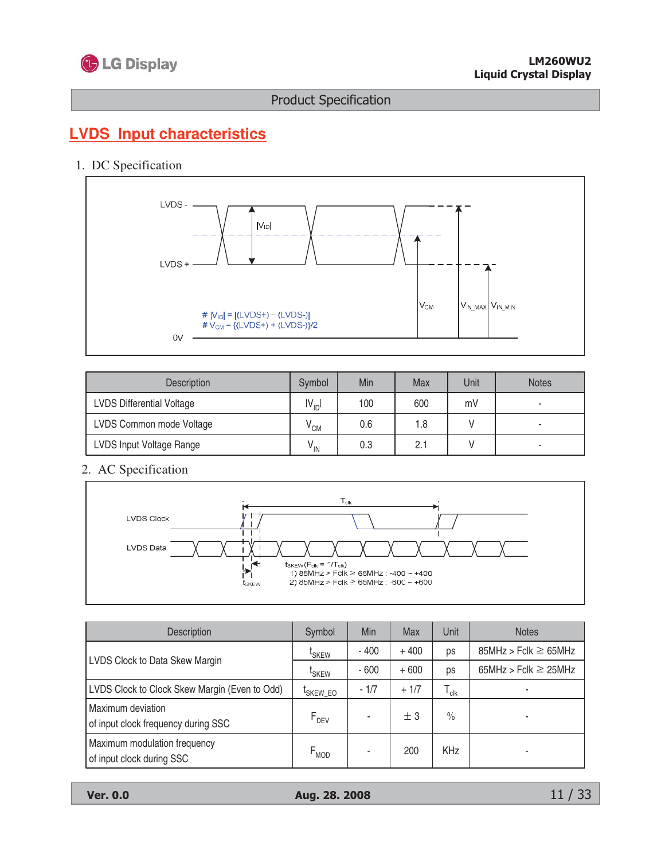

# **LVDS Input characteristics**

### 1. DC Specification



| <b>Description</b>               | Symbol          | Min | Max | Unit | <b>Notes</b> |
|----------------------------------|-----------------|-----|-----|------|--------------|
| <b>LVDS Differential Voltage</b> | $IV_{ID}$       | 100 | 600 | mV   |              |
| LVDS Common mode Voltage         | $V_{CM}$        | 0.6 | 1.8 |      |              |
| LVDS Input Voltage Range         | $V_{\text{IN}}$ | 0.3 | 2.1 |      |              |

2. AC Specification



| <b>Description</b>                                        | Symbol               | Min    | Max    | Unit                        | <b>Notes</b>              |
|-----------------------------------------------------------|----------------------|--------|--------|-----------------------------|---------------------------|
| LVDS Clock to Data Skew Margin                            | <sup>L</sup> SKEW    | $-400$ | $+400$ | ps                          | $85MHz > Fclk \ge 65MHz$  |
|                                                           | <sup>L</sup> SKEW    | $-600$ | $+600$ | ps                          | 65MHz > Fclk $\geq$ 25MHz |
| LVDS Clock to Clock Skew Margin (Even to Odd)             | <sup>I</sup> SKEW_EO | $-1/7$ | $+1/7$ | $\mathsf{T}_{\mathsf{clk}}$ |                           |
| Maximum deviation<br>of input clock frequency during SSC  | $F_{DEV}$            |        | ± 3    | $\frac{0}{0}$               |                           |
| Maximum modulation frequency<br>of input clock during SSC | $F_{MOD}$            |        | 200    | <b>KHz</b>                  |                           |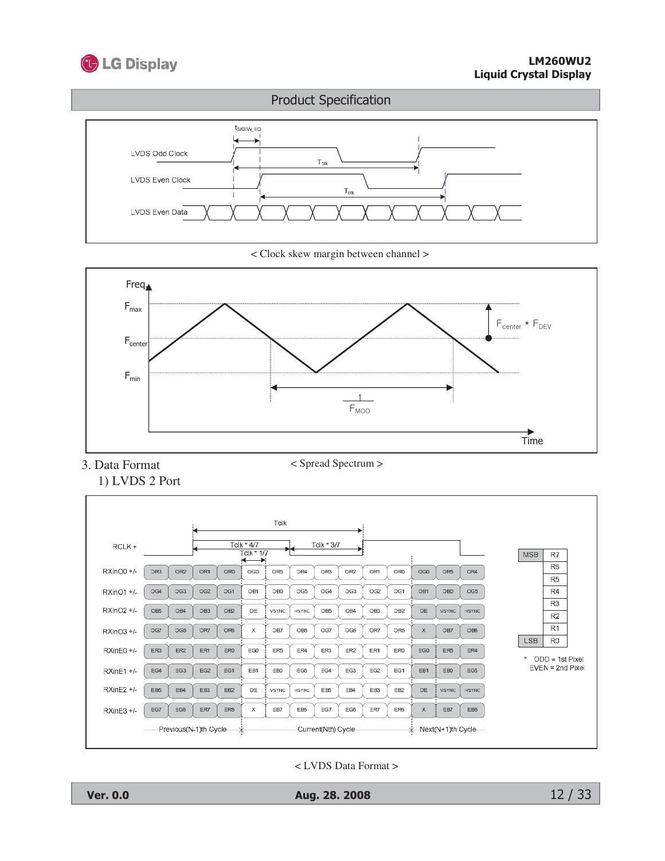



< Clock skew margin between channel >



3. Data Format 1) LVDS 2 Port

Tclk  $\frac{TClk * 4/7}{Tclk * 1/7}$ Tclk \* 3/7 RCLK+ **MSB**  $\overline{R7}$  $R6$ RXinO0 +/-OR<sub>2</sub> OR1 OR<sub>0</sub> OR5 OR4 OR3 OR0  $_{\rm OG0}$ OR5 OR4 OR<sub>3</sub> OR<sub>2</sub> OR1  $OGO$  $R5$ OG4 OG3  $OG2$ OG1 OB1 OB0 OG5 OG4 OG3  $OG2$ OG1 OB1 OB<sub>0</sub>  $OG5$  $\overline{R4}$ RXinO1 +/- $\overline{R3}$  $RXinO2 +/-$ OB<sub>5</sub> OB4  $\circ$  B<sub>3</sub>  $\mathsf{OB2}$  $\mathsf{DE}$ VSYNC **HSYNC** OB<sub>5</sub> OB4 OB<sub>3</sub> OB<sub>2</sub>  $\mathsf{DE}$ VSYNC HSYNC  $\overline{R2}$  $\overline{R1}$ RXinO3 +/-OG7  $\overline{\text{OG6}}$ OR7 OR6  $\mathsf X$ OB7  $\mathsf{O}\mathsf{B}\mathsf{6}$ OG7  $\mathbb{O} \mathbb{G}6$ OR7 OR6  $\mathsf{x}$  $\mathsf{O}\mathsf{B}7$  $\mathsf{O}\mathsf{B}\mathsf{6}$ LSB  $R<sub>0</sub>$ RXinE0 +/- $\mathsf{ER1}$ ER3  $\mathsf{ER2}$  $\mathsf{ERO}$ EG0  $\mathsf{ER}5$  $\mathsf{ER4}$  $\mathsf{ER}3$ ER<sub>2</sub>  $\mathsf{ER1}$ ERO  $_{\rm EG0}$ ER<sub>5</sub> ER4  $\star$  ODD = 1st Pixel  $EVEN = 2nd$  Pixel  $EG1$  $RXinE1 +/ EG4$ EG3  $\mathsf{EG2}$ EB1  $\mathsf{E}\mathsf{B}0$  $\mathsf{EG5}$ EB1 EB<sub>0</sub> EG5 EG4 EG<sub>3</sub>  $\mathsf{EG2}$ EG1 RXinE2 +/-EB<sub>5</sub> EB3 **HSYNC** EB4 EB<sub>2</sub> VSYNC DE **HSYNC** EB<sub>5</sub> EB4 EB<sub>3</sub> EB<sub>2</sub>  $\mathsf{DE}$ VSYNC  $RXinE3 +/-$ EG7 EG6 ER7 ER6  $\mathsf X$ EB7 EB6 EG7  $EG6$ ER7 ER6  $\boldsymbol{\mathsf{x}}$ EB7 EB6 -Previous(N-1)th Cycle-Current(Nth) Cycle -<br>-<br>
Kart (N+1)th Cycle →

<LVDS Data Format >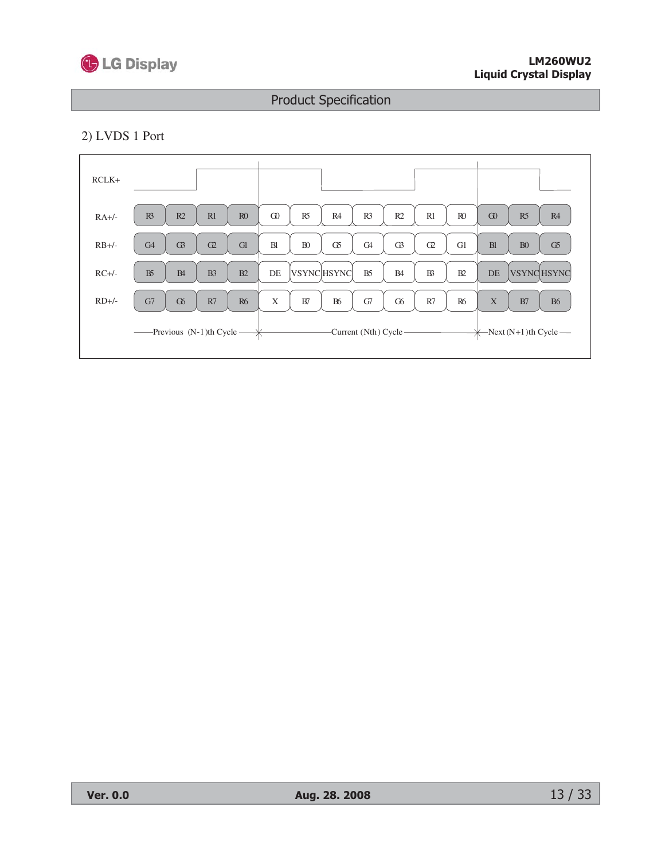

#### 2) LVDS 1 Port

| $RCLK+$ |                                              |                                                                                        |                                   |
|---------|----------------------------------------------|----------------------------------------------------------------------------------------|-----------------------------------|
| $RA+/$  | R <sup>3</sup><br>R2<br>R1<br>R <sub>0</sub> | G <sub>0</sub><br>R5<br>R <sub>4</sub><br>R2<br>R1<br>R <sub>0</sub><br>R <sub>3</sub> | $\Omega$<br>R5<br>R4              |
| $RB+/$  | G <sub>4</sub><br>G3<br>G1<br>C2             | B1<br>${\bf B}0$<br>G5<br>G <sub>4</sub><br>G1<br>G3<br>C2                             | B1<br>B <sub>0</sub><br>G5        |
| $RC+/-$ | B5<br>B <sub>3</sub><br>B4<br>B2             | <b>VSYNCHSYNC</b><br>$\, {\bf B}$<br>DE<br>B <sub>5</sub><br>B2<br><b>B4</b>           | <b>VSYNCHSYNC</b><br>DE           |
| $RD+/-$ | R7<br>G7<br>G <sub>6</sub><br><b>R6</b>      | $\mathbf X$<br><b>B6</b><br>R7<br>G7<br><b>R6</b><br>B7<br>G <sub>6</sub>              | X<br><b>B6</b><br>B7              |
|         |                                              | -Current (Nth) Cycle -                                                                 | $\leftarrow$ Next (N+1)th Cycle — |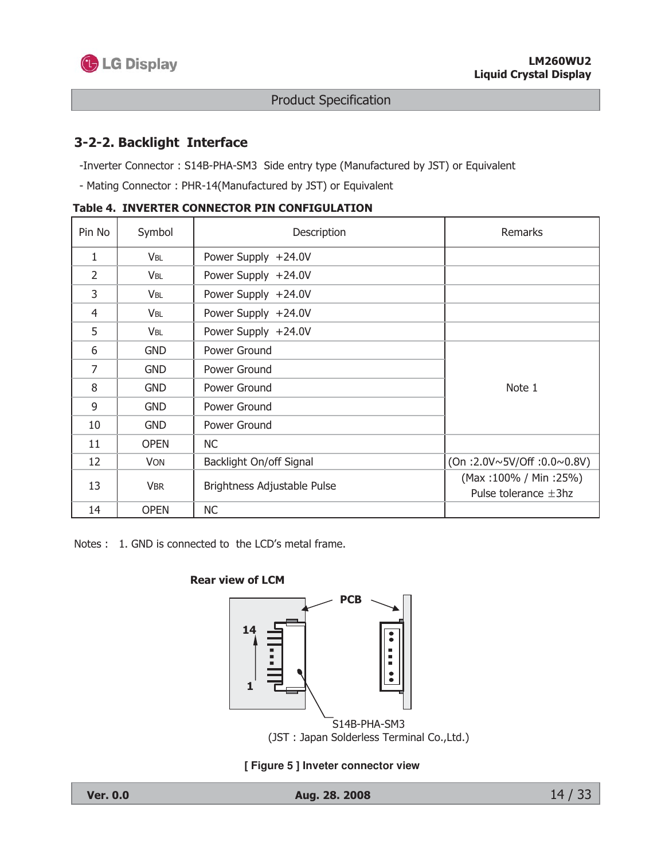

## 3-2-2. Backlight Interface

-Inverter Connector: S14B-PHA-SM3 Side entry type (Manufactured by JST) or Equivalent

- Mating Connector: PHR-14(Manufactured by JST) or Equivalent

| Pin No         | Symbol                 | Description                 | <b>Remarks</b>                                     |
|----------------|------------------------|-----------------------------|----------------------------------------------------|
| 1              | <b>V<sub>BL</sub></b>  | Power Supply +24.0V         |                                                    |
| $\overline{2}$ | <b>V</b> BL            | Power Supply +24.0V         |                                                    |
| 3              | <b>VBL</b>             | Power Supply +24.0V         |                                                    |
| 4              | <b>V</b> <sub>BL</sub> | Power Supply +24.0V         |                                                    |
| 5              | <b>V<sub>BL</sub></b>  | Power Supply +24.0V         |                                                    |
| 6              | <b>GND</b>             | Power Ground                |                                                    |
| $\overline{7}$ | <b>GND</b>             | Power Ground                |                                                    |
| 8              | <b>GND</b>             | Power Ground                | Note 1                                             |
| 9              | <b>GND</b>             | Power Ground                |                                                    |
| 10             | <b>GND</b>             | Power Ground                |                                                    |
| 11             | <b>OPEN</b>            | <b>NC</b>                   |                                                    |
| 12             | <b>VON</b>             | Backlight On/off Signal     | (On :2.0V~5V/Off :0.0~0.8V)                        |
| 13             | <b>VBR</b>             | Brightness Adjustable Pulse | (Max:100% / Min:25%)<br>Pulse tolerance $\pm 3$ hz |
| 14             | <b>OPEN</b>            | <b>NC</b>                   |                                                    |

Table 4. INVERTER CONNECTOR PIN CONFIGULATION

Notes : 1. GND is connected to the LCD's metal frame.





[Figure 5] Inveter connector view

Aug. 28. 2008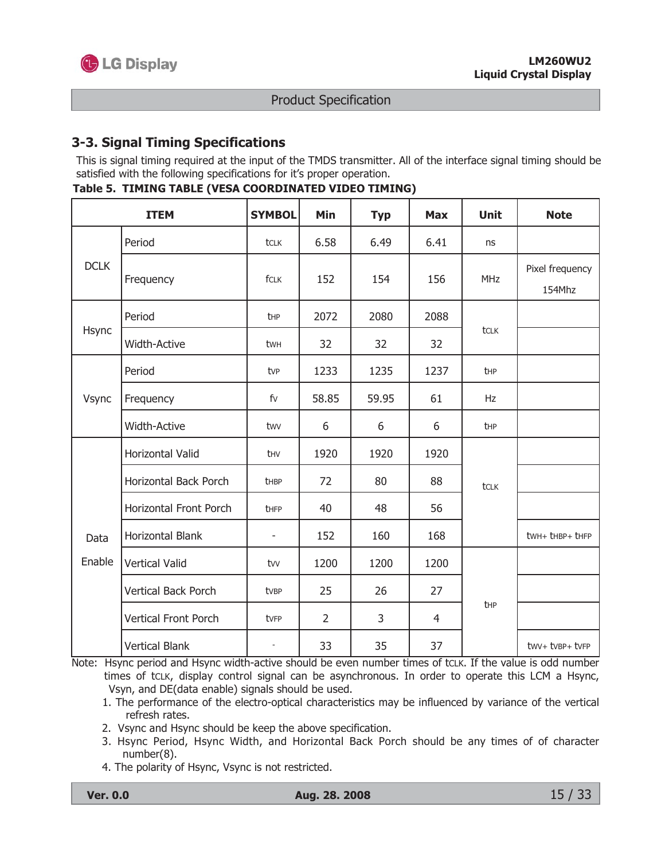## 3-3. Signal Timing Specifications

This is signal timing required at the input of the TMDS transmitter. All of the interface signal timing should be satisfied with the following specifications for it's proper operation.

Table 5. TIMING TABLE (VESA COORDINATED VIDEO TIMING)

|             | <b>ITEM</b>                 | <b>SYMBOL</b>            | <b>Min</b>     | <b>Typ</b> | <b>Max</b> | <b>Unit</b> | <b>Note</b>               |
|-------------|-----------------------------|--------------------------|----------------|------------|------------|-------------|---------------------------|
|             | Period                      | tclk                     | 6.58           | 6.49       | 6.41       | ns          |                           |
| <b>DCLK</b> | Frequency                   | fCLK                     | 152            | 154        | 156        | <b>MHz</b>  | Pixel frequency<br>154Mhz |
|             | Period                      | thp                      | 2072           | 2080       | 2088       |             |                           |
| Hsync       | Width-Active                | twh                      | 32             | 32         | 32         | tclk        |                           |
| Vsync       | Period                      | tvp                      | 1233           | 1235       | 1237       | <b>t</b> HP |                           |
|             | Frequency                   | fv                       | 58.85          | 59.95      | 61         | Hz          |                           |
|             | <b>Width-Active</b>         | twy                      | 6              | 6          | 6          | <b>t</b> HP |                           |
|             | <b>Horizontal Valid</b>     | thy                      | 1920           | 1920       | 1920       |             |                           |
|             | Horizontal Back Porch       | thBP                     | 72             | 80         | 88         | tclk        |                           |
|             | Horizontal Front Porch      | thFP                     | 40             | 48         | 56         |             |                           |
| Data        | Horizontal Blank            | ÷,                       | 152            | 160        | 168        |             | twh+ thBP+ thFP           |
| Enable      | <b>Vertical Valid</b>       | tvv                      | 1200           | 1200       | 1200       |             |                           |
|             | Vertical Back Porch         | tvBP                     | 25             | 26         | 27         |             |                           |
|             | <b>Vertical Front Porch</b> | tvFP                     | $\overline{2}$ | 3          | 4          | thp         |                           |
|             | <b>Vertical Blank</b>       | $\overline{\phantom{a}}$ | 33             | 35         | 37         |             | twv+ tvBP+ tvFP           |

Note: Hsync period and Hsync width-active should be even number times of tcLK. If the value is odd number times of tcLK, display control signal can be asynchronous. In order to operate this LCM a Hsync, Vsyn, and DE(data enable) signals should be used.

- 1. The performance of the electro-optical characteristics may be influenced by variance of the vertical refresh rates.
- 2. Vsync and Hsync should be keep the above specification.
- 3. Hsync Period, Hsync Width, and Horizontal Back Porch should be any times of of character  $number(8)$ .
- 4. The polarity of Hsync, Vsync is not restricted.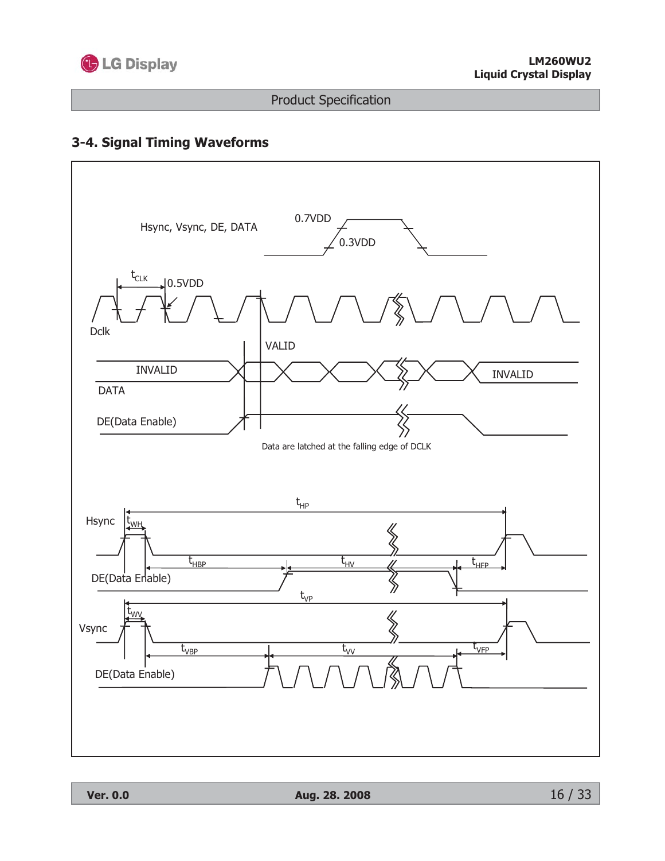

## 3-4. Signal Timing Waveforms

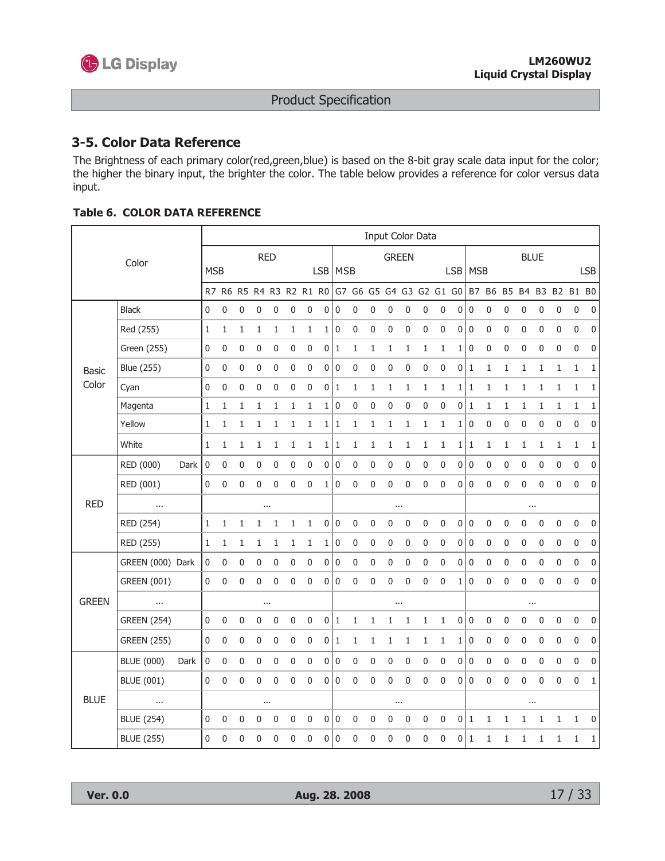

### 3-5. Color Data Reference

The Brightness of each primary color(red, green, blue) is based on the 8-bit gray scale data input for the color; the higher the binary input, the brighter the color. The table below provides a reference for color versus data input.

|              |                    |      |                  |                  |              |              |                  |              |                                                                         |                  |                  |              |              | Input Color Data |              |              |                  |                |                  |                  |                  |              |                  |              |              |              |
|--------------|--------------------|------|------------------|------------------|--------------|--------------|------------------|--------------|-------------------------------------------------------------------------|------------------|------------------|--------------|--------------|------------------|--------------|--------------|------------------|----------------|------------------|------------------|------------------|--------------|------------------|--------------|--------------|--------------|
|              | Color              |      |                  |                  |              |              | <b>RED</b>       |              |                                                                         |                  |                  |              |              |                  | <b>GREEN</b> |              |                  |                |                  |                  |                  |              | <b>BLUE</b>      |              |              |              |
|              |                    |      | <b>MSB</b>       |                  |              |              |                  |              |                                                                         |                  | LSB   MSB        |              |              |                  |              |              |                  |                | LSB   MSB        |                  |                  |              |                  |              |              | <b>LSB</b>   |
|              |                    |      |                  |                  |              |              |                  |              | R7 R6 R5 R4 R3 R2 R1 R0 G7 G6 G5 G4 G3 G2 G1 G0 B7 B6 B5 B4 B3 B2 B1 B0 |                  |                  |              |              |                  |              |              |                  |                |                  |                  |                  |              |                  |              |              |              |
|              | <b>Black</b>       |      | 0                | $\pmb{0}$        | 0            | $\mathbf 0$  | $\pmb{0}$        | 0            | $\pmb{0}$                                                               | $\pmb{0}$        | 0                | $\pmb{0}$    | 0            | 0                | $\pmb{0}$    | 0            | $\pmb{0}$        | 0              | $\pmb{0}$        | $\boldsymbol{0}$ | $\boldsymbol{0}$ | 0            | $\pmb{0}$        | $\pmb{0}$    | $\pmb{0}$    | $\pmb{0}$    |
|              | Red (255)          |      | 1                | $\mathbf{1}$     | 1            | $\mathbf{1}$ | 1                | $\mathbf{1}$ | $\mathbf{1}$                                                            | $1\vert$         | 0                | $\mathbf 0$  | $\pmb{0}$    | $\mathbf 0$      | $\mathbf 0$  | 0            | $\mathbf 0$      |                | 0 0              | 0                | $\mathbf 0$      | 0            | $\mathbf 0$      | 0            | $\mathbf 0$  | 0            |
|              | Green (255)        |      | $\pmb{0}$        | 0                | $\pmb{0}$    | $\pmb{0}$    | $\boldsymbol{0}$ | $\pmb{0}$    | 0                                                                       | $\boldsymbol{0}$ | $\,1$            | $\mathbf 1$  | $\mathbf 1$  | $\mathbf 1$      | $\,1$        | $1\,$        | $\mathbf 1$      | $1\vert$       | $\pmb{0}$        | $\boldsymbol{0}$ | $\pmb{0}$        | $\pmb{0}$    | $\pmb{0}$        | $\pmb{0}$    | $\pmb{0}$    | $\pmb{0}$    |
| <b>Basic</b> | <b>Blue (255)</b>  |      | 0                | 0                | $\mathbf 0$  | $\mathbf 0$  | $\pmb{0}$        | 0            | 0                                                                       | $\pmb{0}$        | $\mathbf 0$      | $\pmb{0}$    | $\pmb{0}$    | $\pmb{0}$        | $\mathbf 0$  | 0            | $\mathbf 0$      |                | 0 1              | $\mathbf{1}$     | $\mathbf{1}$     | $\mathbf{1}$ | $\mathbf{1}$     | $\mathbf{1}$ | $\mathbf{1}$ | $\mathbf 1$  |
| Color        | Cyan               |      | 0                | 0                | 0            | $\mathbf 0$  | 0                | 0            | 0                                                                       | 0                | 1                | 1            | $\mathbf{1}$ | $\mathbf{1}$     | 1            | 1            | $\mathbf{1}$     |                | 1 1              | 1                | 1                | 1            | 1                | $\mathbf{1}$ | $\mathbf{1}$ | 1            |
|              | Magenta            |      | 1                | $\mathbf{1}$     | $\mathbf{1}$ | 1            | $\mathbf{1}$     | $\mathbf{1}$ | $\mathbf{1}$                                                            | 1                | $\pmb{0}$        | $\pmb{0}$    | $\mathbf 0$  | 0                | $\mathbf 0$  | 0            | $\mathbf 0$      |                | 0 1              | 1                | $\mathbf{1}$     | $\mathbf{1}$ | $\mathbf{1}$     | $\mathbf{1}$ | $\mathbf{1}$ | $\mathbf{1}$ |
|              | Yellow             |      | 1                | 1                | 1            | 1            | 1                | 1            | 1                                                                       | 1                | 1                | 1            | 1            | 1                | 1            | 1            | $\mathbf{1}$     | 1              | $\pmb{0}$        | 0                | $\pmb{0}$        | $\pmb{0}$    | 0                | 0            | $\pmb{0}$    | 0            |
|              | White              |      | $1\,$            | 1                | 1            | $\mathbf{1}$ | 1                | $\mathbf{1}$ | $\mathbf{1}$                                                            | 1                | $\mathbf{1}$     | $\mathbf 1$  | $\mathbf 1$  | $\mathbf 1$      | 1            | $\mathbf 1$  | 1                | $1\vert$       | 1                | 1                | 1                | 1            | $\mathbf{1}$     | $\mathbf{1}$ | $1\,$        | 1            |
|              | RED (000)          | Dark | $\boldsymbol{0}$ | $\boldsymbol{0}$ | $\pmb{0}$    | $\pmb{0}$    | $\pmb{0}$        | $\pmb{0}$    | 0                                                                       | 0                | $\boldsymbol{0}$ | $\pmb{0}$    | $\pmb{0}$    | $\pmb{0}$        | $\pmb{0}$    | $\pmb{0}$    | $\pmb{0}$        | $\circ$        | $\boldsymbol{0}$ | $\pmb{0}$        | $\pmb{0}$        | $\pmb{0}$    | $\pmb{0}$        | $\pmb{0}$    | $\pmb{0}$    | 0            |
|              | RED (001)          |      | 0                | 0                | 0            | $\mathbf 0$  | 0                | 0            | 0                                                                       | 1                | 0                | $\pmb{0}$    | 0            | 0                | $\mathbf 0$  | 0            | $\mathbf 0$      | $\overline{0}$ | $\overline{0}$   | 0                | $\mathbf 0$      | 0            | $\mathbf 0$      | $\mathbf 0$  | $\mathbf 0$  | 0            |
| <b>RED</b>   | $\cdots$           |      |                  |                  |              |              | $\cdots$         |              |                                                                         |                  |                  |              |              |                  | $\cdots$     |              |                  |                |                  |                  |                  |              | $\cdots$         |              |              |              |
|              | RED (254)          |      | 1                | 1                | 1            | $\mathbf{1}$ | 1                | $\mathbf{1}$ | $\mathbf{1}$                                                            | $\pmb{0}$        | $\pmb{0}$        | $\mathbf 0$  | $\pmb{0}$    | 0                | $\mathbf 0$  | 0            | $\pmb{0}$        | 0              | $\boldsymbol{0}$ | $\pmb{0}$        | $\mathbf 0$      | $\pmb{0}$    | $\pmb{0}$        | $\mathbf 0$  | $\pmb{0}$    | $\pmb{0}$    |
|              | RED (255)          |      | $\mathbf{1}$     | 1                | 1            | 1            | 1                | $\mathbf 1$  | $\mathbf{1}$                                                            | $1\vert$         | $\pmb{0}$        | $\pmb{0}$    | $\pmb{0}$    | $\pmb{0}$        | $\pmb{0}$    | 0            | $\pmb{0}$        |                | 0 0              | $\pmb{0}$        | $\mathbf 0$      | $\pmb{0}$    | $\pmb{0}$        | $\pmb{0}$    | $\mathbf 0$  | $\pmb{0}$    |
|              | GREEN (000) Dark   |      | $\pmb{0}$        | 0                | $\pmb{0}$    | 0            | $\pmb{0}$        | $\pmb{0}$    | $\pmb{0}$                                                               | 0                | 0                | $\pmb{0}$    | $\pmb{0}$    | $\pmb{0}$        | $\pmb{0}$    | 0            | $\pmb{0}$        | 0              | $\pmb{0}$        | $\pmb{0}$        | $\pmb{0}$        | $\pmb{0}$    | $\pmb{0}$        | $\pmb{0}$    | $\pmb{0}$    | $\pmb{0}$    |
|              | <b>GREEN (001)</b> |      | 0                | 0                | $\mathbf 0$  | $\mathbf 0$  | $\mathbf 0$      | 0            | 0                                                                       | 0                | 0                | $\pmb{0}$    | 0            | 0                | $\mathbf 0$  | 0            | $\mathbf 0$      | 1 <sup>1</sup> | $\mathbf 0$      | $\mathbf 0$      | $\mathbf 0$      | 0            | $\mathbf 0$      | $\mathbf 0$  | $\mathbf 0$  | 0            |
| <b>GREEN</b> | $\cdots$           |      |                  |                  |              |              | $\cdots$         |              |                                                                         |                  |                  |              |              |                  | $\cdots$     |              |                  |                |                  |                  |                  |              | $\cdots$         |              |              |              |
|              | <b>GREEN (254)</b> |      | 0                | 0                | $\mathbf 0$  | 0            | $\mathbf 0$      | 0            | $\pmb{0}$                                                               | 0 1              |                  | $\mathbf{1}$ | 1            | 1                | 1            | $\mathbf{1}$ | 1                | 0              | $\boldsymbol{0}$ | 0                | $\mathbf 0$      | 0            | $\boldsymbol{0}$ | $\pmb{0}$    | $\mathbf 0$  | $\pmb{0}$    |
|              | <b>GREEN (255)</b> |      | 0                | $\pmb{0}$        | $\pmb{0}$    | $\mathbf 0$  | $\boldsymbol{0}$ | 0            | $\pmb{0}$                                                               | 0 1              |                  | $\,1$        | $\mathbf 1$  | $\mathbf 1$      | 1            | 1            | 1                | $1\vert$       | $\pmb{0}$        | $\pmb{0}$        | $\mathbf 0$      | $\pmb{0}$    | $\pmb{0}$        | $\pmb{0}$    | $\pmb{0}$    | 0            |
|              | <b>BLUE (000)</b>  | Dark | $\pmb{0}$        | $\mathbf 0$      | $\mathbf 0$  | $\mathbf 0$  | $\mathbf 0$      | 0            | $\pmb{0}$                                                               | $\overline{0}$   | 0                | 0            | $\pmb{0}$    | $\pmb{0}$        | $\mathbf 0$  | 0            | $\mathbf 0$      |                | 0 0              | 0                | $\mathbf 0$      | $\pmb{0}$    | 0                | $\pmb{0}$    | $\mathbf 0$  | 0            |
|              | <b>BLUE (001)</b>  |      | 0                | 0                | 0            | $\pmb{0}$    | $\pmb{0}$        | $\mathbf 0$  | 0                                                                       | 0                | 0                | $\pmb{0}$    | $\pmb{0}$    | 0                | $\pmb{0}$    | 0            | $\boldsymbol{0}$ | 0 <sup>1</sup> | $\mathbf 0$      | 0                | $\boldsymbol{0}$ | $\pmb{0}$    | $\boldsymbol{0}$ | $\pmb{0}$    | $\pmb{0}$    | $\mathbf 1$  |
| <b>BLUE</b>  | $\cdots$           |      |                  |                  |              |              | $\cdots$         |              |                                                                         |                  |                  |              |              |                  | $\cdots$     |              |                  |                |                  |                  |                  |              | $\cdots$         |              |              |              |
|              | <b>BLUE (254)</b>  |      | 0                | 0                | 0            | 0            | $\mathbf 0$      | 0            | 0                                                                       | 0                | 0                | 0            | 0            | 0                | 0            | 0            | 0                |                | 0 1              | 1                | 1                | 1            | 1                | 1            | 1            | 0            |
|              | <b>BLUE (255)</b>  |      | 0                | 0                | 0            | $\mathbf 0$  | 0                | 0            | 0                                                                       | $\overline{0}$   | $\mathbf 0$      | $\mathbf 0$  | 0            | 0                | $\mathbf 0$  | 0            | $\mathbf 0$      |                | 0 1              | 1                | 1                | 1            | 1                | $\mathbf{1}$ | 1            | 1            |

#### **Table 6. COLOR DATA REFERENCE**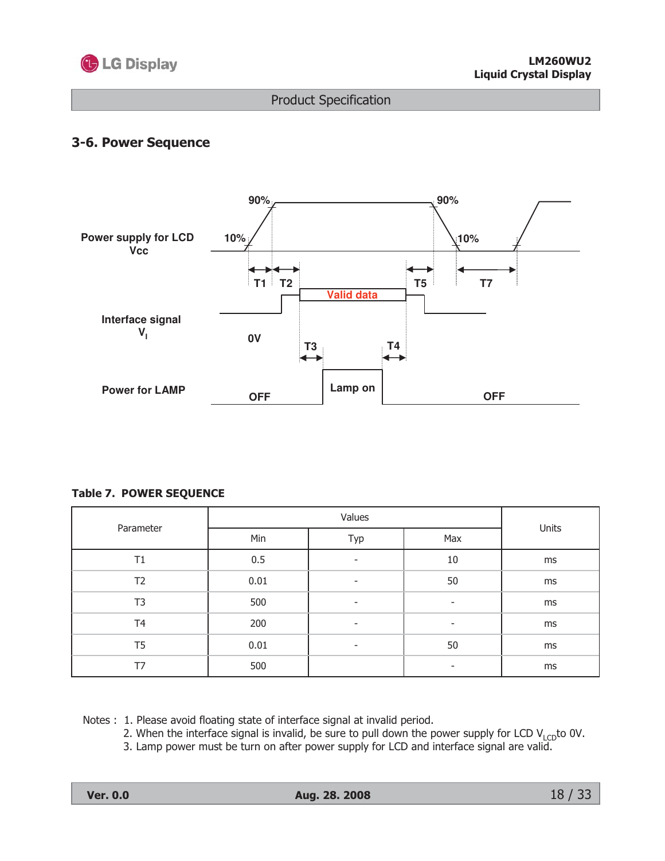

## 3-6. Power Sequence



#### **Table 7. POWER SEQUENCE**

|                |      | Units                    |     |    |  |
|----------------|------|--------------------------|-----|----|--|
| Parameter      | Min  | Typ                      | Max |    |  |
| T1             | 0.5  |                          | 10  | ms |  |
| T <sub>2</sub> | 0.01 | $\overline{\phantom{a}}$ | 50  | ms |  |
| T <sub>3</sub> | 500  | ٠                        | ٠   | ms |  |
| T <sub>4</sub> | 200  |                          | ٠   | ms |  |
| T <sub>5</sub> | 0.01 | ٠                        | 50  | ms |  |
| T7             | 500  |                          | ۰   | ms |  |

Notes: 1. Please avoid floating state of interface signal at invalid period.

2. When the interface signal is invalid, be sure to pull down the power supply for LCD  $V_{LCD}$  to 0V.

3. Lamp power must be turn on after power supply for LCD and interface signal are valid.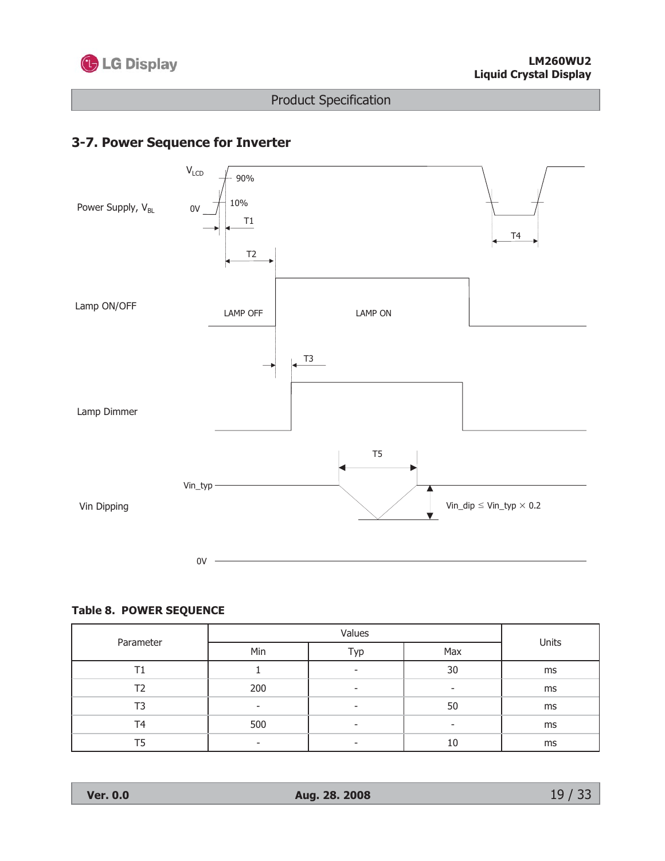

## 3-7. Power Sequence for Inverter



#### **Table 8. POWER SEQUENCE**

|           |     | Units |                          |    |  |
|-----------|-----|-------|--------------------------|----|--|
| Parameter | Min | Typ   | Max                      |    |  |
|           |     |       | 30                       | ms |  |
| T2        | 200 | -     | $\overline{\phantom{a}}$ | ms |  |
| T3        | ٠   |       | 50                       | ms |  |
| T4        | 500 | -     |                          | ms |  |
| T5        | ۰   |       | 10                       | ms |  |

**Ver. 0.0**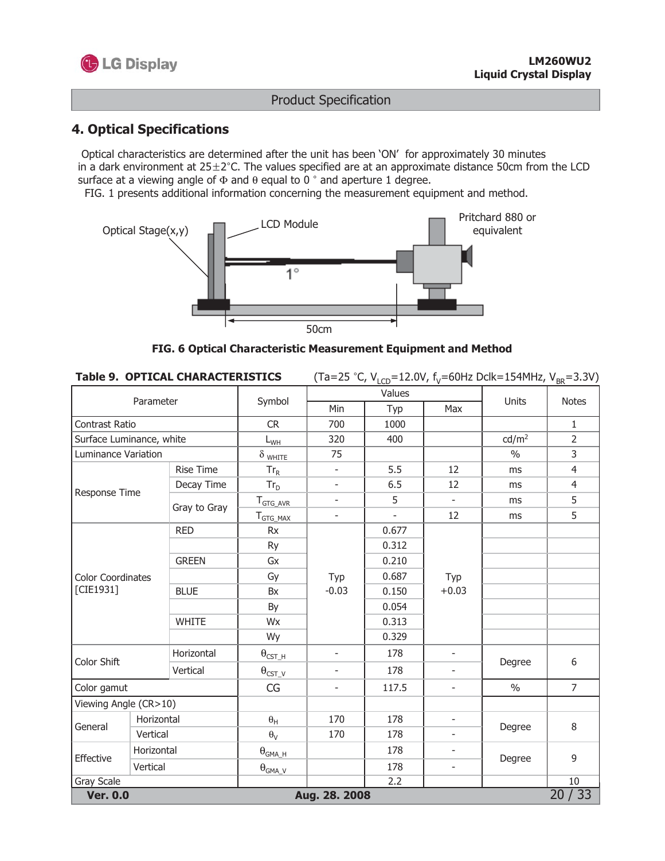

## **4. Optical Specifications**

Optical characteristics are determined after the unit has been 'ON' for approximately 30 minutes in a dark environment at  $25 \pm 2^{\circ}$ C. The values specified are at an approximate distance 50cm from the LCD surface at a viewing angle of  $\Phi$  and  $\theta$  equal to 0  $^{\circ}$  and aperture 1 degree.

FIG. 1 presents additional information concerning the measurement equipment and method.



FIG. 6 Optical Characteristic Measurement Equipment and Method

| <b>Table 9. OPTICAL CHARACTERISTICS</b> | (Ta=25 °C, V <sub>LCD</sub> =12.0V, f <sub>V</sub> =60Hz Dclk=154MHz, V <sub>BR</sub> =3.3V) |
|-----------------------------------------|----------------------------------------------------------------------------------------------|
|-----------------------------------------|----------------------------------------------------------------------------------------------|

|                          | Parameter  |                  | Symbol                   |                          | Values           |                          | Units             | <b>Notes</b>   |
|--------------------------|------------|------------------|--------------------------|--------------------------|------------------|--------------------------|-------------------|----------------|
|                          |            |                  |                          | Min                      | Typ              | Max                      |                   |                |
| Contrast Ratio           |            |                  | <b>CR</b>                | 700                      | 1000             |                          |                   | $1\,$          |
| Surface Luminance, white |            |                  | $L_{WH}$                 | 320                      | 400              |                          | cd/m <sup>2</sup> | $\overline{2}$ |
| Luminance Variation      |            |                  | $\delta$ white           | 75                       |                  |                          | $\frac{0}{0}$     | 3              |
|                          |            | <b>Rise Time</b> | $Tr_R$                   |                          | 5.5              | 12                       | ms                | $\overline{4}$ |
| Response Time            |            | Decay Time       | $Tr_D$                   | ÷,                       | 6.5              | 12                       | ms                | $\overline{4}$ |
|                          |            | Gray to Gray     | $T_{GTG\_AVR}$           | ÷,                       | 5                | $\overline{\phantom{a}}$ | ms                | 5              |
|                          |            |                  | T <sub>GTG_MAX</sub>     | $\overline{\phantom{a}}$ |                  | 12                       | ms                | 5              |
|                          |            | <b>RED</b>       | <b>Rx</b>                |                          | 0.677            |                          |                   |                |
|                          |            | Ry               |                          | 0.312                    |                  |                          |                   |                |
|                          |            | <b>GREEN</b>     | Gx                       |                          | 0.210            |                          |                   |                |
| <b>Color Coordinates</b> |            |                  | Gy                       | Typ                      | 0.687            | Typ                      |                   |                |
| [CIE1931]                |            | <b>BLUE</b>      | Bx                       | $-0.03$                  | 0.150            | $+0.03$                  |                   |                |
|                          |            |                  | By                       |                          | 0.054            |                          |                   |                |
|                          |            | <b>WHITE</b>     | Wx                       |                          | 0.313            |                          |                   |                |
|                          |            |                  | Wy                       |                          | 0.329            |                          |                   |                |
| Color Shift              |            | Horizontal       | $\theta_{\text{CST\_H}}$ | $\overline{a}$           | 178              | $\overline{\phantom{a}}$ | Degree            | 6              |
|                          |            | Vertical         | $\theta_{\text{CST\_V}}$ |                          | 178              | $\overline{\phantom{a}}$ |                   |                |
| Color gamut              |            |                  | CG                       | $\overline{\phantom{a}}$ | 117.5            | -                        | $\frac{0}{0}$     | $\overline{7}$ |
| Viewing Angle (CR>10)    |            |                  |                          |                          |                  |                          |                   |                |
| General                  | Horizontal |                  | $\theta_{\mathsf{H}}$    | 170                      | 178              | $\frac{1}{2}$            |                   | 8              |
|                          | Vertical   |                  | $\theta_V$               | 170                      | 178              | $\overline{\phantom{0}}$ | Degree            |                |
| Effective                | Horizontal |                  | $\theta_{\text{GMA\_H}}$ |                          | 178              | $\overline{\phantom{m}}$ | Degree            | 9              |
|                          | Vertical   |                  | $\theta_{\text{GMA\_V}}$ |                          | 178              | $\overline{\phantom{m}}$ |                   |                |
| Gray Scale               |            |                  |                          |                          | $\overline{2.2}$ |                          |                   | 10             |
| <b>Ver. 0.0</b>          |            |                  |                          | Aug. 28. 2008            |                  |                          |                   | 20/33          |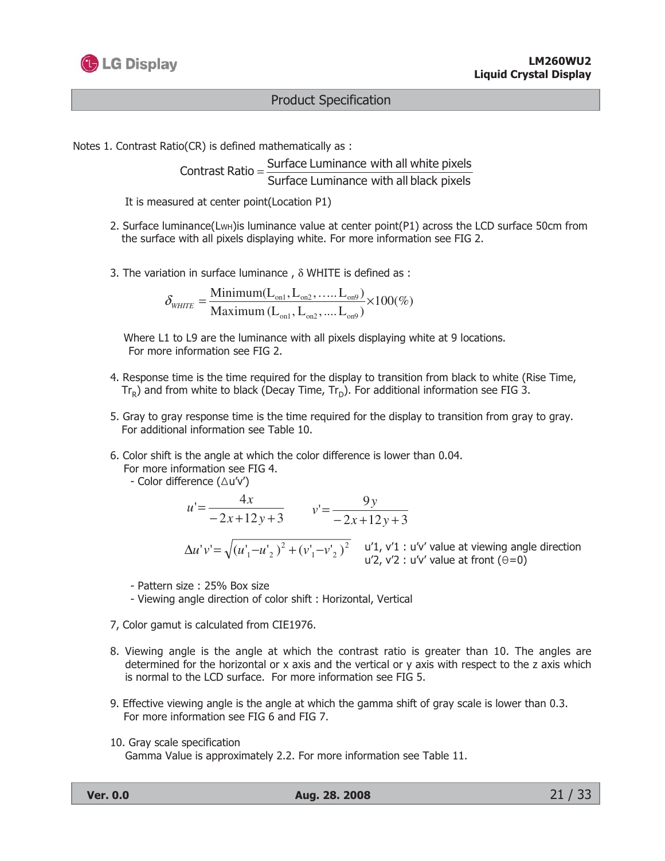

Notes 1. Contrast Ratio(CR) is defined mathematically as :

Contrast Ratio =  $\frac{\text{Surface Luminance with all white pixels}}{\text{Surface Luminance with all black pixels}}$ 

It is measured at center point(Location P1)

- 2. Surface luminance(LwH) is luminance value at center point(P1) across the LCD surface 50cm from the surface with all pixels displaying white. For more information see FIG 2.
- 3. The variation in surface luminance,  $\delta$  WHITE is defined as :

$$
\delta_{\text{WHTE}} = \frac{\text{Minimum}(L_{on1}, L_{on2}, \dots, L_{on9})}{\text{Maximum}(L_{on1}, L_{on2}, \dots, L_{on9})} \times 100(\%)
$$

Where L1 to L9 are the luminance with all pixels displaying white at 9 locations. For more information see FIG 2.

- 4. Response time is the time required for the display to transition from black to white (Rise Time,  $Tr_R$ ) and from white to black (Decay Time,  $Tr_D$ ). For additional information see FIG 3.
- 5. Gray to gray response time is the time required for the display to transition from gray to gray. For additional information see Table 10.
- 6. Color shift is the angle at which the color difference is lower than 0.04.

For more information see FIG 4.

- Color difference 
$$
(\Delta u'v')
$$

$$
u' = \frac{4x}{-2x+12y+3}
$$
  

$$
v' = \frac{9y}{-2x+12y+3}
$$
  

$$
\Delta u'v' = \sqrt{(u'_1 - u'_2)^2 + (v'_1 - v'_2)^2}
$$
  

$$
u'' = u'' = u'' + u'v'
$$
 value at viewing angle direction  

$$
u'' = u'' + u''v'
$$
 value at front (θ=0)

- Pattern size: 25% Box size
- Viewing angle direction of color shift: Horizontal, Vertical
- 7, Color gamut is calculated from CIE1976.
- 8. Viewing angle is the angle at which the contrast ratio is greater than 10. The angles are determined for the horizontal or x axis and the vertical or y axis with respect to the z axis which is normal to the LCD surface. For more information see FIG 5.
- 9. Effective viewing angle is the angle at which the gamma shift of gray scale is lower than 0.3. For more information see FIG 6 and FIG 7.
- 10. Gray scale specification

Gamma Value is approximately 2.2. For more information see Table 11.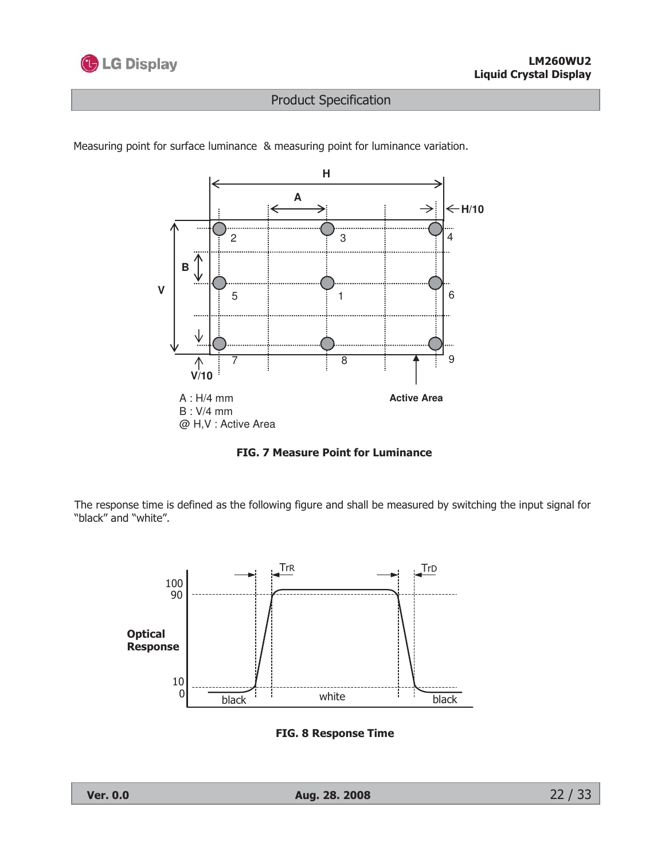



Measuring point for surface luminance & measuring point for luminance variation.



The response time is defined as the following figure and shall be measured by switching the input signal for "black" and "white".



**FIG. 8 Response Time**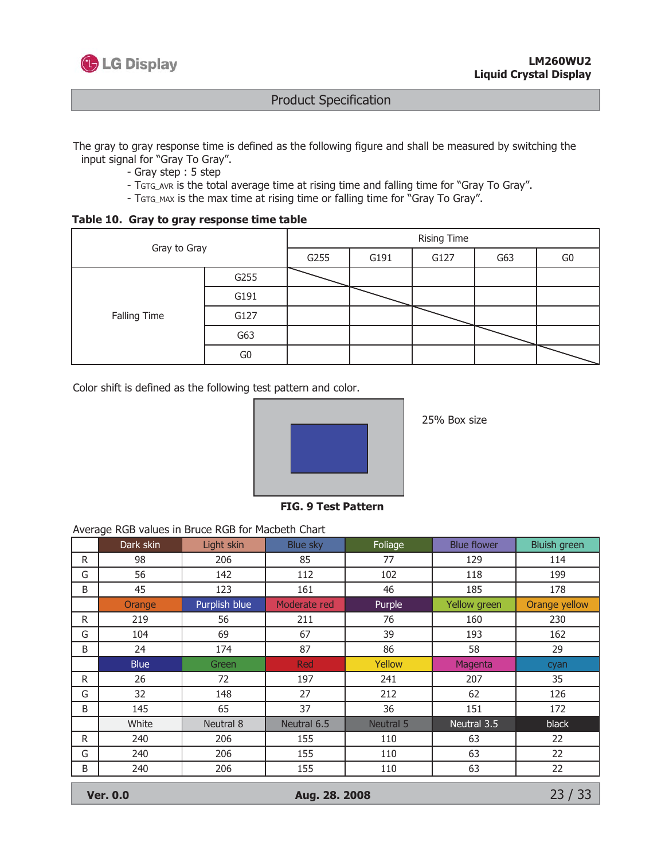

The gray to gray response time is defined as the following figure and shall be measured by switching the input signal for "Gray To Gray".

- Gray step: 5 step
- TGTG\_AVR is the total average time at rising time and falling time for "Gray To Gray".
- TGTG\_MAX is the max time at rising time or falling time for "Gray To Gray".

Table 10. Gray to gray response time table

|              | Gray to Gray |      |      | <b>Rising Time</b> |                |  |  |  |  |  |  |
|--------------|--------------|------|------|--------------------|----------------|--|--|--|--|--|--|
|              | G255         | G191 | G127 | G63                | G <sub>0</sub> |  |  |  |  |  |  |
|              | G255         |      |      |                    |                |  |  |  |  |  |  |
|              | G191         |      |      |                    |                |  |  |  |  |  |  |
| Falling Time | G127         |      |      |                    |                |  |  |  |  |  |  |
|              | G63          |      |      |                    |                |  |  |  |  |  |  |
|              | G0           |      |      |                    |                |  |  |  |  |  |  |

Color shift is defined as the following test pattern and color.



25% Box size

**FIG. 9 Test Pattern** 

#### Average RGB values in Bruce RGB for Macbeth Chart

|                                           | ັ<br>Dark skin | Light skin    | <b>Blue sky</b> | Foliage   | <b>Blue flower</b> | <b>Bluish green</b> |  |  |
|-------------------------------------------|----------------|---------------|-----------------|-----------|--------------------|---------------------|--|--|
| R.                                        | 98             | 206           | 85              | 77        | 129                | 114                 |  |  |
| G                                         | 56             | 142           | 112             | 102       | 118                | 199                 |  |  |
| B                                         | 45             | 123           | 161             | 46        | 185                | 178                 |  |  |
|                                           | Orange         | Purplish blue | Moderate red    | Purple    | Yellow green       | Orange yellow       |  |  |
| R.                                        | 219            | 56            | 211             | 76        | 160                | 230                 |  |  |
| G                                         | 104            | 69            | 67              | 39        | 193                | 162                 |  |  |
| B                                         | 24             | 174           | 87              | 86        | 58                 | 29                  |  |  |
|                                           | <b>Blue</b>    | Green         | Red             | Yellow    | Magenta            | cyan                |  |  |
| R                                         | 26             | 72            | 197             | 241       | 207                | 35                  |  |  |
| G                                         | 32             | 148           | 27              | 212       | 62                 | 126                 |  |  |
| B                                         | 145            | 65            | 37              | 36        | 151                | 172                 |  |  |
|                                           | White          | Neutral 8     | Neutral 6.5     | Neutral 5 | Neutral 3.5        | black               |  |  |
| R.                                        | 240            | 206           | 155             | 110       | 63                 | 22                  |  |  |
| G                                         | 240            | 206           | 155             | 110       | 63                 | 22                  |  |  |
| B                                         | 240            | 206           | 155             | 110       | 63                 | 22                  |  |  |
| 23/33<br><b>Ver. 0.0</b><br>Aug. 28. 2008 |                |               |                 |           |                    |                     |  |  |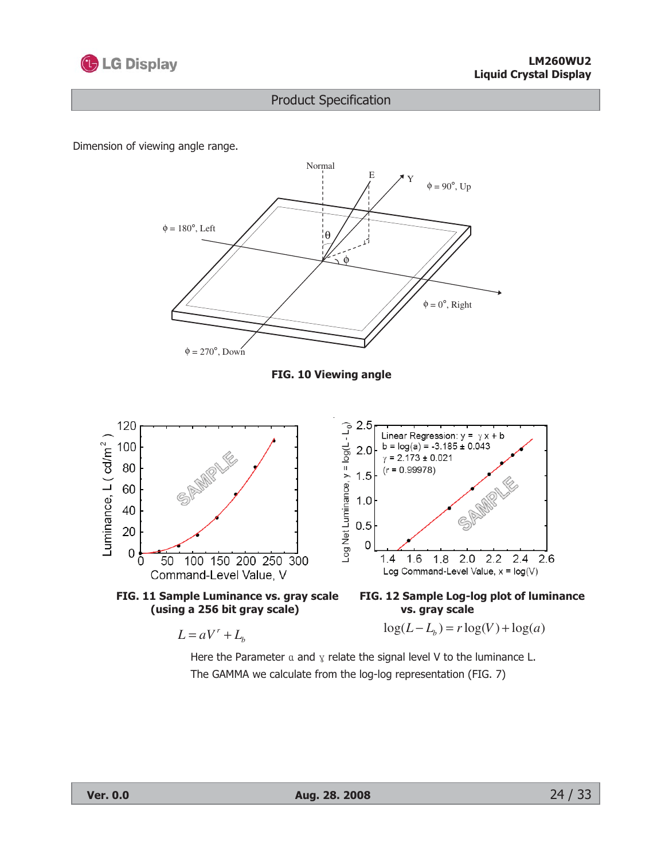

Dimension of viewing angle range.



Here the Parameter  $\alpha$  and  $\gamma$  relate the signal level V to the luminance L. The GAMMA we calculate from the log-log representation (FIG. 7)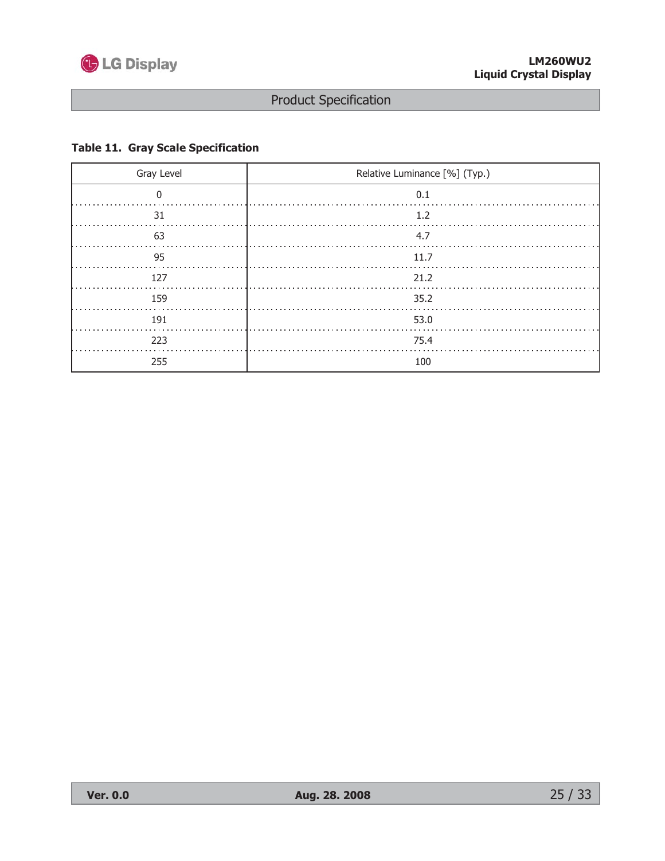

### **Table 11. Gray Scale Specification**

| Gray Level | Relative Luminance [%] (Typ.) |
|------------|-------------------------------|
|            | 0.1                           |
| 31         | 1.2                           |
| 63         | 4.7                           |
| 95         | 11.7                          |
| 127        | 21.2                          |
| 159        | 35.2                          |
| 191        | 53.0                          |
| 223        | 75.4                          |
| 255        | 100                           |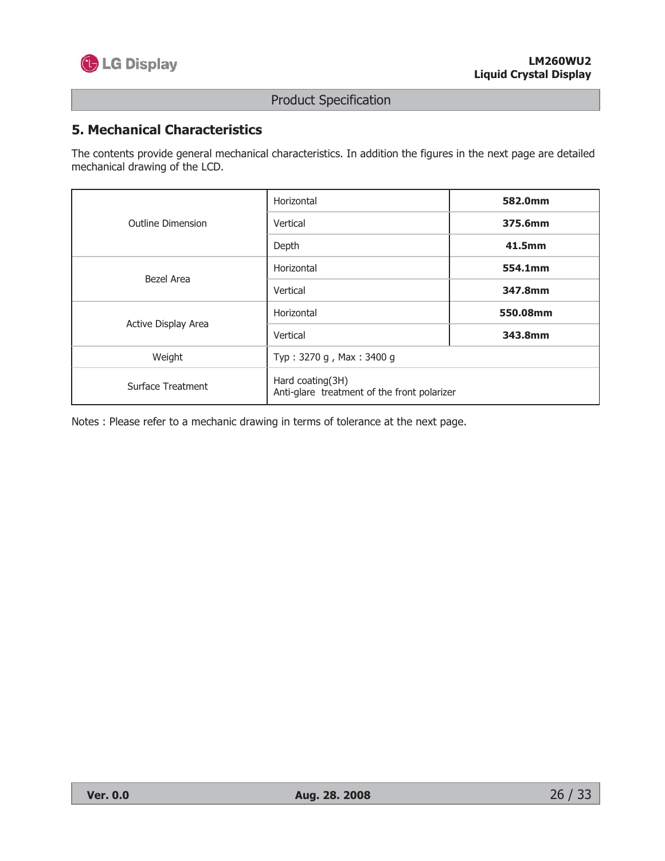

## **5. Mechanical Characteristics**

The contents provide general mechanical characteristics. In addition the figures in the next page are detailed mechanical drawing of the LCD.

|                          | Horizontal                                                      | 582.0mm  |  |  |  |  |
|--------------------------|-----------------------------------------------------------------|----------|--|--|--|--|
| <b>Outline Dimension</b> | Vertical                                                        | 375.6mm  |  |  |  |  |
|                          | Depth                                                           | 41.5mm   |  |  |  |  |
| Bezel Area               | Horizontal                                                      | 554.1mm  |  |  |  |  |
|                          | Vertical                                                        | 347.8mm  |  |  |  |  |
| Active Display Area      | Horizontal                                                      | 550.08mm |  |  |  |  |
|                          | Vertical                                                        | 343.8mm  |  |  |  |  |
| Weight                   | Typ: 3270 g, Max: 3400 g                                        |          |  |  |  |  |
| Surface Treatment        | Hard coating(3H)<br>Anti-glare treatment of the front polarizer |          |  |  |  |  |

Notes : Please refer to a mechanic drawing in terms of tolerance at the next page.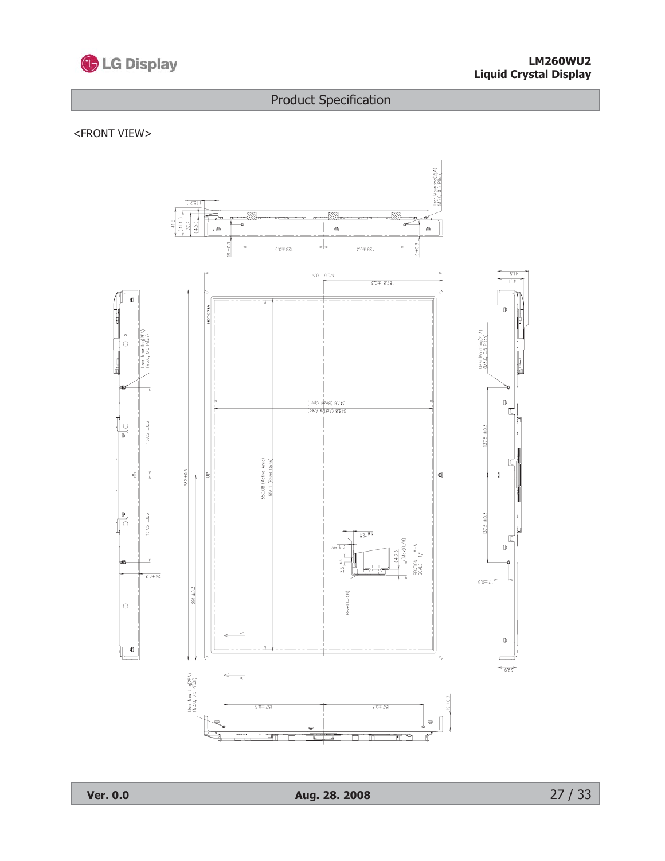

#### **LM260WU2 Liquid Crystal Display**

# **Product Specification**

#### <FRONT VIEW>

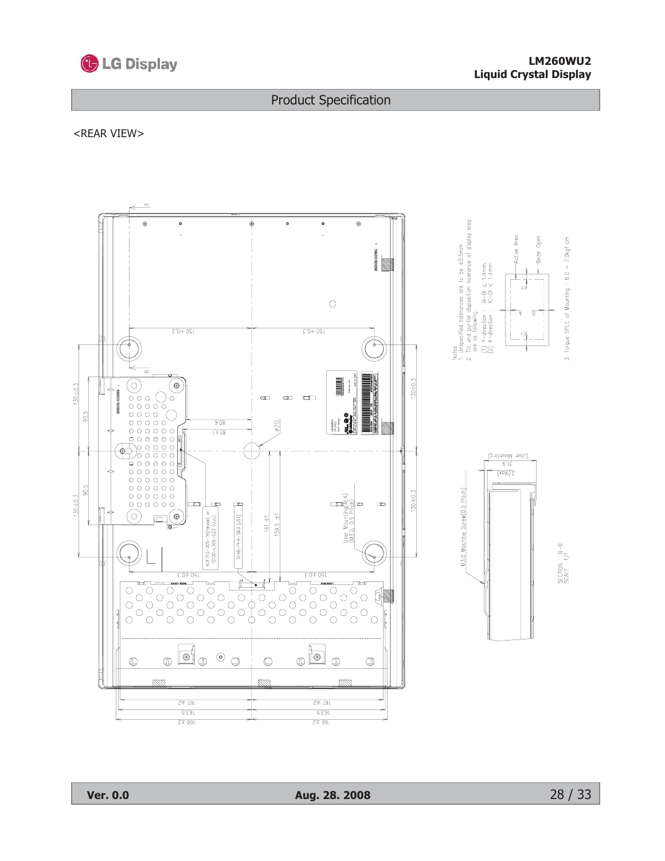

#### **LM260WU2 Liquid Crystal Display**

#### **Product Specification**

#### <REAR VIEW>

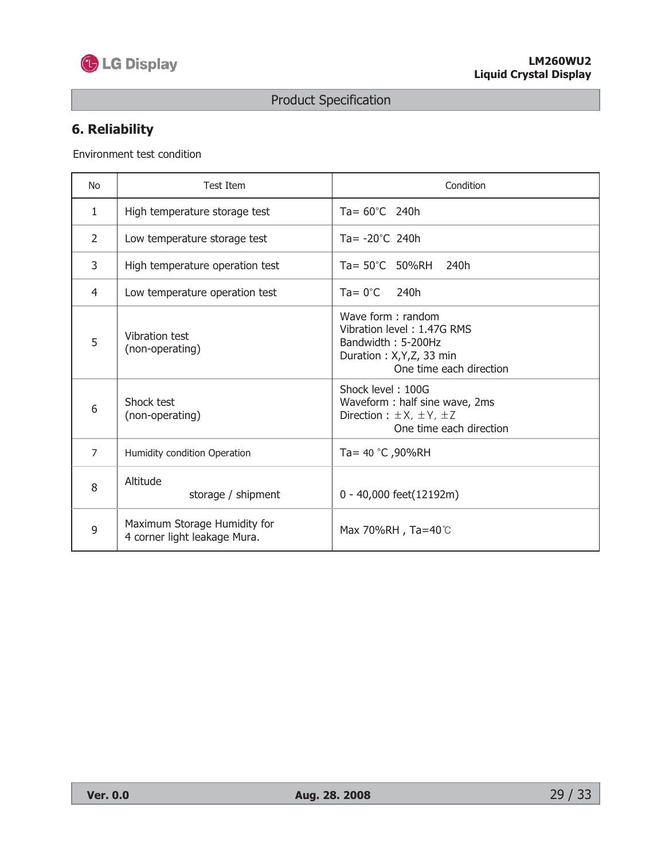

# 6. Reliability

Environment test condition

| <b>No</b>      | <b>Test Item</b>                                             | Condition                                                                                                                   |
|----------------|--------------------------------------------------------------|-----------------------------------------------------------------------------------------------------------------------------|
| $\mathbf{1}$   | High temperature storage test                                | Ta= $60^{\circ}$ C 240h                                                                                                     |
| $\overline{2}$ | Low temperature storage test                                 | Ta= $-20^{\circ}$ C 240h                                                                                                    |
| 3              | High temperature operation test                              | $Ta = 50^{\circ}C$ 50%RH 240h                                                                                               |
| $\overline{4}$ | Low temperature operation test                               | $Ta = 0^{\circ}C$<br>240h                                                                                                   |
| 5              | Vibration test<br>(non-operating)                            | Wave form: random<br>Vibration level: 1.47G RMS<br>Bandwidth: 5-200Hz<br>Duration: X,Y,Z, 33 min<br>One time each direction |
| 6              | Shock test<br>(non-operating)                                | Shock level: 100G<br>Waveform: half sine wave, 2ms<br>Direction: $\pm X$ , $\pm Y$ , $\pm Z$<br>One time each direction     |
| $\overline{7}$ | Humidity condition Operation                                 | Ta= 40 °C, 90%RH                                                                                                            |
| 8              | Altitude<br>storage / shipment                               | 0 - 40,000 feet(12192m)                                                                                                     |
| 9              | Maximum Storage Humidity for<br>4 corner light leakage Mura. | Max 70%RH, Ta=40℃                                                                                                           |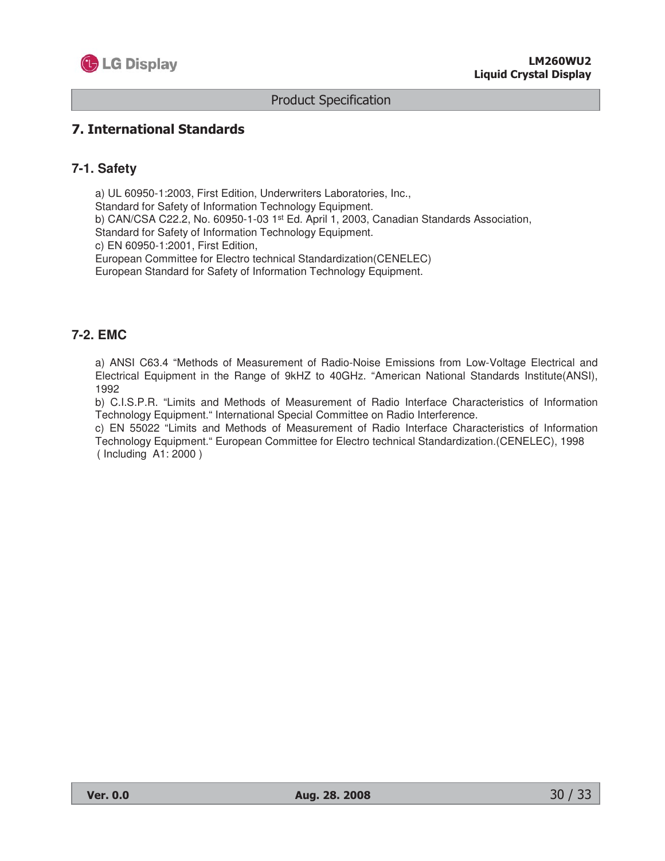

#### 7. International Standards

#### **7-1. Safety**

a) UL 60950-1:2003, First Edition, Underwriters Laboratories, Inc., Standard for Safety of Information Technology Equipment. b) CAN/CSA C22.2, No. 60950-1-03 1<sup>st</sup> Ed. April 1, 2003, Canadian Standards Association, Standard for Safety of Information Technology Equipment. c) EN 60950-1:2001, First Edition, European Committee for Electro technical Standardization(CENELEC) European Standard for Safety of Information Technology Equipment.

#### **7-2. EMC**

a) ANSI C63.4 "Methods of Measurement of Radio-Noise Emissions from Low-Voltage Electrical and Electrical Equipment in the Range of 9kHZ to 40GHz. "American National Standards Institute(ANSI), 1992

b) C.I.S.P.R. "Limits and Methods of Measurement of Radio Interface Characteristics of Information Technology Equipment." International Special Committee on Radio Interference.

c) EN 55022 "Limits and Methods of Measurement of Radio Interface Characteristics of Information Technology Equipment." European Committee for Electro technical Standardization.(CENELEC), 1998 ( Including A1: 2000 )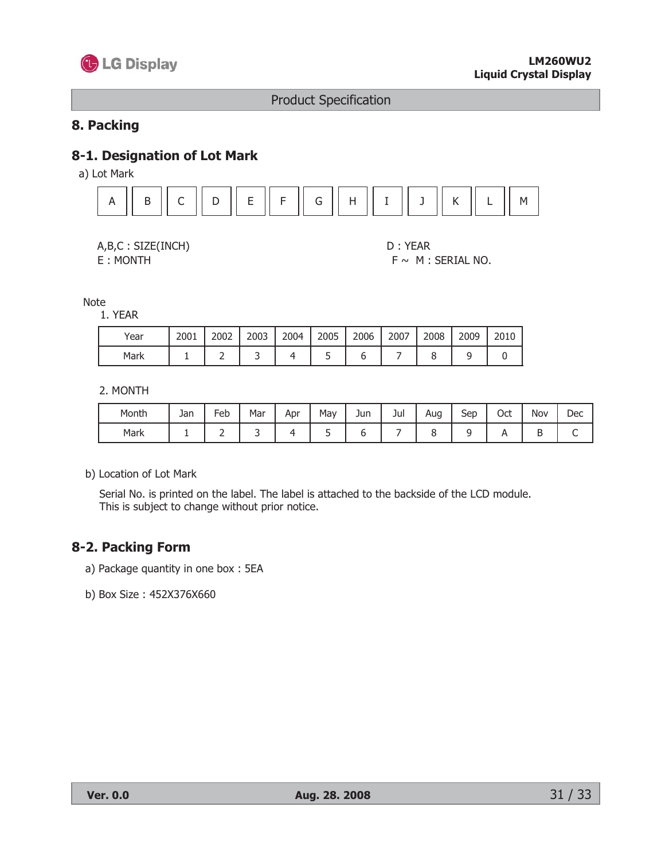

#### 8. Packing

#### 8-1. Designation of Lot Mark

a) Lot Mark



|  |  | A, B, C: SIZE(INCH)                                |  |  |
|--|--|----------------------------------------------------|--|--|
|  |  | $\Gamma$ $\sim$ $\sim$ $\sim$ $\sim$ $\sim$ $\sim$ |  |  |

E: MONTH

D: YEAR  $F \sim M$  : SERIAL NO.

**Note** 

1. YEAR

| Year | 2001 | 2002 | 2003 | 2004 | 2005 | 2006 | 2007 | 2008 | 2009 | 2010 |
|------|------|------|------|------|------|------|------|------|------|------|
| Mark |      |      |      |      |      |      |      |      |      |      |

2. MONTH

| Month | Jan | Feb | Mar | Apr | May | Jun | Jul | Aug | Sep | Oct | Nov | Dec |
|-------|-----|-----|-----|-----|-----|-----|-----|-----|-----|-----|-----|-----|
| Mark  |     |     |     |     |     |     |     |     |     |     |     |     |

b) Location of Lot Mark

Serial No. is printed on the label. The label is attached to the backside of the LCD module. This is subject to change without prior notice.

## 8-2. Packing Form

- a) Package quantity in one box: 5EA
- b) Box Size: 452X376X660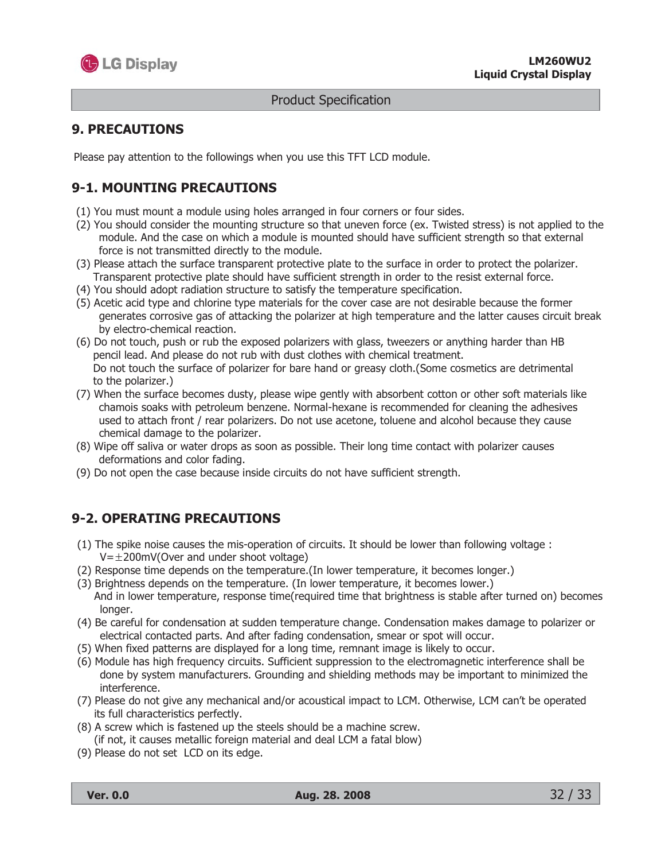

#### **9. PRECAUTIONS**

Please pay attention to the followings when you use this TFT LCD module.

## **9-1. MOUNTING PRECAUTIONS**

- (1) You must mount a module using holes arranged in four corners or four sides.
- (2) You should consider the mounting structure so that uneven force (ex. Twisted stress) is not applied to the module. And the case on which a module is mounted should have sufficient strength so that external force is not transmitted directly to the module.
- (3) Please attach the surface transparent protective plate to the surface in order to protect the polarizer. Transparent protective plate should have sufficient strength in order to the resist external force.
- (4) You should adopt radiation structure to satisfy the temperature specification.
- (5) Acetic acid type and chlorine type materials for the cover case are not desirable because the former generates corrosive gas of attacking the polarizer at high temperature and the latter causes circuit break by electro-chemical reaction.
- (6) Do not touch, push or rub the exposed polarizers with glass, tweezers or anything harder than HB pencil lead. And please do not rub with dust clothes with chemical treatment. Do not touch the surface of polarizer for bare hand or greasy cloth. (Some cosmetics are detrimental to the polarizer.)
- (7) When the surface becomes dusty, please wipe gently with absorbent cotton or other soft materials like chamois soaks with petroleum benzene. Normal-hexane is recommended for cleaning the adhesives used to attach front / rear polarizers. Do not use acetone, toluene and alcohol because they cause chemical damage to the polarizer.
- (8) Wipe off saliva or water drops as soon as possible. Their long time contact with polarizer causes deformations and color fading.
- (9) Do not open the case because inside circuits do not have sufficient strength.

## **9-2. OPERATING PRECAUTIONS**

- (1) The spike noise causes the mis-operation of circuits. It should be lower than following voltage :  $V = \pm 200$ mV(Over and under shoot voltage)
- (2) Response time depends on the temperature. (In lower temperature, it becomes longer.)
- (3) Brightness depends on the temperature. (In lower temperature, it becomes lower.) And in lower temperature, response time(required time that brightness is stable after turned on) becomes longer.
- (4) Be careful for condensation at sudden temperature change. Condensation makes damage to polarizer or electrical contacted parts. And after fading condensation, smear or spot will occur.
- (5) When fixed patterns are displayed for a long time, remnant image is likely to occur.
- (6) Module has high frequency circuits. Sufficient suppression to the electromagnetic interference shall be done by system manufacturers. Grounding and shielding methods may be important to minimized the interference.
- (7) Please do not give any mechanical and/or acoustical impact to LCM. Otherwise, LCM can't be operated its full characteristics perfectly.
- (8) A screw which is fastened up the steels should be a machine screw. (if not, it causes metallic foreign material and deal LCM a fatal blow)
- (9) Please do not set LCD on its edge.